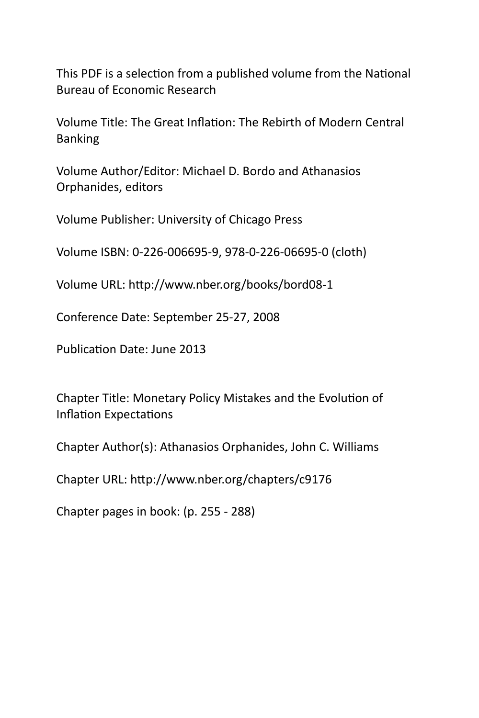This PDF is a selection from a published volume from the National Bureau of Economic Research

Volume Title: The Great Inflation: The Rebirth of Modern Central Banking

Volume Author/Editor: Michael D. Bordo and Athanasios Orphanides, editors

Volume Publisher: University of Chicago Press

Volume ISBN: 0‐226‐006695‐9, 978‐0‐226‐06695‐0 (cloth)

Volume URL: http://www.nber.org/books/bord08-1

Conference Date: September 25‐27, 2008

Publication Date: June 2013

Chapter Title: Monetary Policy Mistakes and the Evolution of Inflation Expectations

Chapter Author(s): Athanasios Orphanides, John C. Williams

Chapter URL: hƩp://www.nber.org/chapters/c9176

Chapter pages in book: (p. 255 ‐ 288)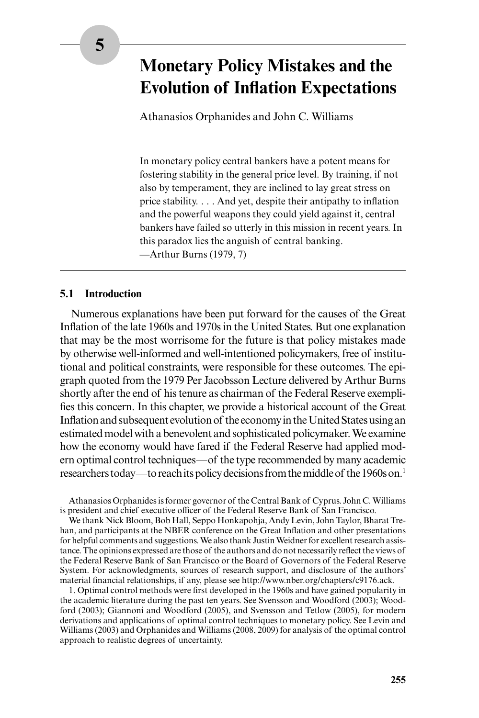Athanasios Orphanides and John C. Williams

In monetary policy central bankers have a potent means for fostering stability in the general price level. By training, if not also by temperament, they are inclined to lay great stress on price stability. . . . And yet, despite their antipathy to inflation and the powerful weapons they could yield against it, central bankers have failed so utterly in this mission in recent years. In this paradox lies the anguish of central banking. —Arthur Burns (1979, 7)

# **5.1 Introduction**

Numerous explanations have been put forward for the causes of the Great Inflation of the late 1960s and 1970s in the United States. But one explanation that may be the most worrisome for the future is that policy mistakes made by otherwise well-informed and well-intentioned policymakers, free of institutional and political constraints, were responsible for these outcomes. The epigraph quoted from the 1979 Per Jacobsson Lecture delivered by Arthur Burns shortly after the end of his tenure as chairman of the Federal Reserve exemplifies this concern. In this chapter, we provide a historical account of the Great Inflation and subsequent evolution of the economy in the United States using an estimated model with a benevolent and sophisticated policymaker. We examine how the economy would have fared if the Federal Reserve had applied modern optimal control techniques—of the type recommended by many academic researchers today—to reach its policy decisions from the middle of the 1960s on.<sup>1</sup>

Athanasios Orphanides is former governor of the Central Bank of Cyprus. John C. Williams is president and chief executive officer of the Federal Reserve Bank of San Francisco.

We thank Nick Bloom, Bob Hall, Seppo Honkapohja, Andy Levin, John Taylor, Bharat Trehan, and participants at the NBER conference on the Great Inflation and other presentations for helpful comments and suggestions. We also thank Justin Weidner for excellent research assistance. The opinions expressed are those of the authors and do not necessarily reflect the views of the Federal Reserve Bank of San Francisco or the Board of Governors of the Federal Reserve System. For acknowledgments, sources of research support, and disclosure of the authors' material financial relationships, if any, please see http://www.nber.org/chapters/c9176.ack.

1. Optimal control methods were first developed in the 1960s and have gained popularity in the academic literature during the past ten years. See Svensson and Woodford (2003); Woodford (2003); Giannoni and Woodford (2005), and Svensson and Tetlow (2005), for modern derivations and applications of optimal control techniques to monetary policy. See Levin and Williams (2003) and Orphanides and Williams (2008, 2009) for analysis of the optimal control approach to realistic degrees of uncertainty.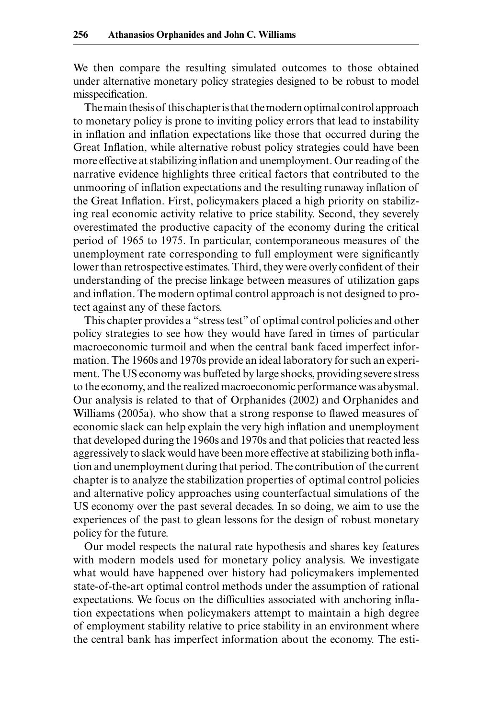We then compare the resulting simulated outcomes to those obtained under alternative monetary policy strategies designed to be robust to model misspecification.

The main thesis of this chapter is that the modern optimal control approach to monetary policy is prone to inviting policy errors that lead to instability in inflation and inflation expectations like those that occurred during the Great Inflation, while alternative robust policy strategies could have been more effective at stabilizing inflation and unemployment. Our reading of the narrative evidence highlights three critical factors that contributed to the unmooring of inflation expectations and the resulting runaway inflation of the Great Inflation. First, policymakers placed a high priority on stabilizing real economic activity relative to price stability. Second, they severely overestimated the productive capacity of the economy during the critical period of 1965 to 1975. In particular, contemporaneous measures of the unemployment rate corresponding to full employment were significantly lower than retrospective estimates. Third, they were overly confident of their understanding of the precise linkage between measures of utilization gaps and inflation. The modern optimal control approach is not designed to protect against any of these factors.

This chapter provides a "stress test" of optimal control policies and other policy strategies to see how they would have fared in times of particular macroeconomic turmoil and when the central bank faced imperfect information. The 1960s and 1970s provide an ideal laboratory for such an experiment. The US economy was buffeted by large shocks, providing severe stress to the economy, and the realized macroeconomic performance was abysmal. Our analysis is related to that of Orphanides (2002) and Orphanides and Williams (2005a), who show that a strong response to flawed measures of economic slack can help explain the very high inflation and unemployment that developed during the 1960s and 1970s and that policies that reacted less aggressively to slack would have been more effective at stabilizing both inflation and unemployment during that period. The contribution of the current chapter is to analyze the stabilization properties of optimal control policies and alternative policy approaches using counterfactual simulations of the US economy over the past several decades. In so doing, we aim to use the experiences of the past to glean lessons for the design of robust monetary policy for the future.

Our model respects the natural rate hypothesis and shares key features with modern models used for monetary policy analysis. We investigate what would have happened over history had policymakers implemented state- of- the- art optimal control methods under the assumption of rational expectations. We focus on the difficulties associated with anchoring inflation expectations when policymakers attempt to maintain a high degree of employment stability relative to price stability in an environment where the central bank has imperfect information about the economy. The esti-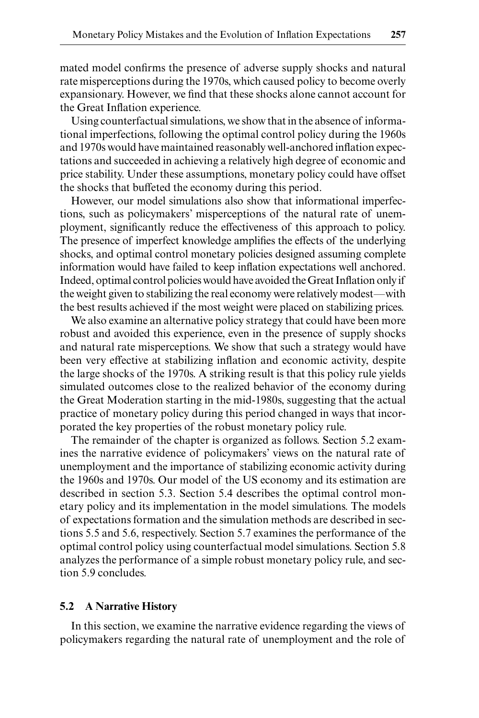mated model confirms the presence of adverse supply shocks and natural rate misperceptions during the 1970s, which caused policy to become overly expansionary. However, we find that these shocks alone cannot account for the Great Inflation experience.

Using counterfactual simulations, we show that in the absence of informational imperfections, following the optimal control policy during the 1960s and 1970s would have maintained reasonably well-anchored inflation expectations and succeeded in achieving a relatively high degree of economic and price stability. Under these assumptions, monetary policy could have offset the shocks that buffeted the economy during this period.

However, our model simulations also show that informational imperfections, such as policymakers' misperceptions of the natural rate of unemployment, significantly reduce the effectiveness of this approach to policy. The presence of imperfect knowledge amplifies the effects of the underlying shocks, and optimal control monetary policies designed assuming complete information would have failed to keep inflation expectations well anchored. Indeed, optimal control policies would have avoided the Great Inflation only if the weight given to stabilizing the real economy were relatively modest—with the best results achieved if the most weight were placed on stabilizing prices.

We also examine an alternative policy strategy that could have been more robust and avoided this experience, even in the presence of supply shocks and natural rate misperceptions. We show that such a strategy would have been very effective at stabilizing inflation and economic activity, despite the large shocks of the 1970s. A striking result is that this policy rule yields simulated outcomes close to the realized behavior of the economy during the Great Moderation starting in the mid- 1980s, suggesting that the actual practice of monetary policy during this period changed in ways that incorporated the key properties of the robust monetary policy rule.

The remainder of the chapter is organized as follows. Section 5.2 examines the narrative evidence of policymakers' views on the natural rate of unemployment and the importance of stabilizing economic activity during the 1960s and 1970s. Our model of the US economy and its estimation are described in section 5.3. Section 5.4 describes the optimal control monetary policy and its implementation in the model simulations. The models of expectations formation and the simulation methods are described in sections 5.5 and 5.6, respectively. Section 5.7 examines the performance of the optimal control policy using counterfactual model simulations. Section 5.8 analyzes the performance of a simple robust monetary policy rule, and section 5.9 concludes.

#### **5.2 A Narrative History**

In this section, we examine the narrative evidence regarding the views of policymakers regarding the natural rate of unemployment and the role of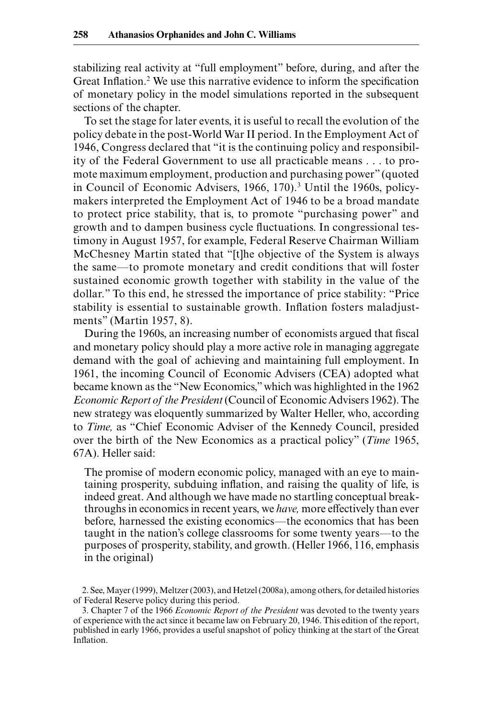stabilizing real activity at "full employment" before, during, and after the Great Inflation.<sup>2</sup> We use this narrative evidence to inform the specification of monetary policy in the model simulations reported in the subsequent sections of the chapter.

To set the stage for later events, it is useful to recall the evolution of the policy debate in the post- World War II period. In the Employment Act of 1946, Congress declared that "it is the continuing policy and responsibility of the Federal Government to use all practicable means . . . to promote maximum employment, production and purchasing power" (quoted in Council of Economic Advisers, 1966, 170).<sup>3</sup> Until the 1960s, policymakers interpreted the Employment Act of 1946 to be a broad mandate to protect price stability, that is, to promote "purchasing power" and growth and to dampen business cycle fluctuations. In congressional testimony in August 1957, for example, Federal Reserve Chairman William McChesney Martin stated that "[t]he objective of the System is always the same—to promote monetary and credit conditions that will foster sustained economic growth together with stability in the value of the dollar." To this end, he stressed the importance of price stability: "Price stability is essential to sustainable growth. Inflation fosters maladjustments" (Martin 1957, 8).

During the 1960s, an increasing number of economists argued that fiscal and monetary policy should play a more active role in managing aggregate demand with the goal of achieving and maintaining full employment. In 1961, the incoming Council of Economic Advisers (CEA) adopted what became known as the "New Economics," which was highlighted in the 1962 *Economic Report of the President* (Council of Economic Advisers 1962). The new strategy was eloquently summarized by Walter Heller, who, according to *Time,* as "Chief Economic Adviser of the Kennedy Council, presided over the birth of the New Economics as a practical policy" (*Time* 1965, 67A). Heller said:

The promise of modern economic policy, managed with an eye to maintaining prosperity, subduing inflation, and raising the quality of life, is indeed great. And although we have made no startling conceptual breakthroughs in economics in recent years, we *have,* more effectively than ever before, harnessed the existing economics—the economics that has been taught in the nation's college classrooms for some twenty years—to the purposes of prosperity, stability, and growth. (Heller 1966, 116, emphasis in the original)

<sup>2.</sup> See, Mayer (1999), Meltzer (2003), and Hetzel (2008a), among others, for detailed histories of Federal Reserve policy during this period.

<sup>3.</sup> Chapter 7 of the 1966 *Economic Report of the President* was devoted to the twenty years of experience with the act since it became law on February 20, 1946. This edition of the report, published in early 1966, provides a useful snapshot of policy thinking at the start of the Great Inflation.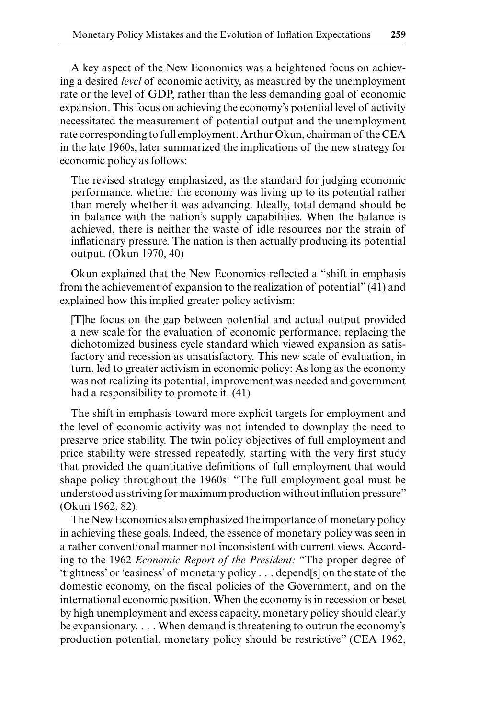A key aspect of the New Economics was a heightened focus on achieving a desired *level* of economic activity, as measured by the unemployment rate or the level of GDP, rather than the less demanding goal of economic expansion. This focus on achieving the economy's potential level of activity necessitated the measurement of potential output and the unemployment rate corresponding to full employment. Arthur Okun, chairman of the CEA in the late 1960s, later summarized the implications of the new strategy for economic policy as follows:

The revised strategy emphasized, as the standard for judging economic performance, whether the economy was living up to its potential rather than merely whether it was advancing. Ideally, total demand should be in balance with the nation's supply capabilities. When the balance is achieved, there is neither the waste of idle resources nor the strain of inflationary pressure. The nation is then actually producing its potential output. (Okun 1970, 40)

Okun explained that the New Economics reflected a "shift in emphasis" from the achievement of expansion to the realization of potential" (41) and explained how this implied greater policy activism:

[T]he focus on the gap between potential and actual output provided a new scale for the evaluation of economic performance, replacing the dichotomized business cycle standard which viewed expansion as satisfactory and recession as unsatisfactory. This new scale of evaluation, in turn, led to greater activism in economic policy: As long as the economy was not realizing its potential, improvement was needed and government had a responsibility to promote it. (41)

The shift in emphasis toward more explicit targets for employment and the level of economic activity was not intended to downplay the need to preserve price stability. The twin policy objectives of full employment and price stability were stressed repeatedly, starting with the very first study that provided the quantitative definitions of full employment that would shape policy throughout the 1960s: "The full employment goal must be understood as striving for maximum production without inflation pressure" (Okun 1962, 82).

The New Economics also emphasized the importance of monetary policy in achieving these goals. Indeed, the essence of monetary policy was seen in a rather conventional manner not inconsistent with current views. According to the 1962 *Economic Report of the President:* "The proper degree of 'tightness' or 'easiness' of monetary policy . . . depend[s] on the state of the domestic economy, on the fiscal policies of the Government, and on the international economic position. When the economy is in recession or beset by high unemployment and excess capacity, monetary policy should clearly be expansionary. . . . When demand is threatening to outrun the economy's production potential, monetary policy should be restrictive" (CEA 1962,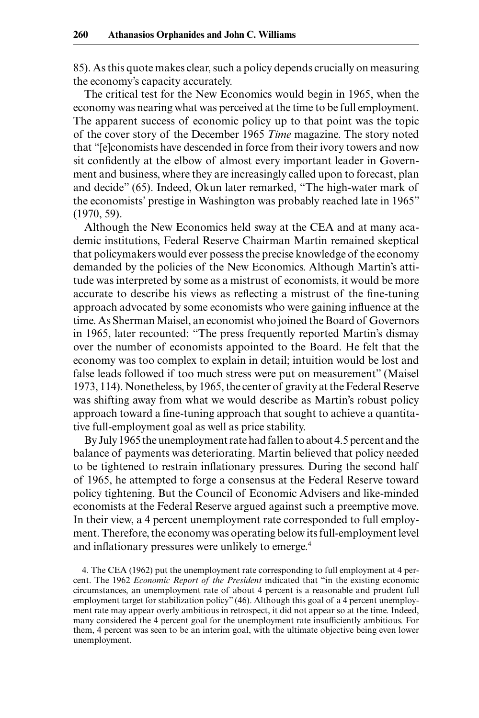85). As this quote makes clear, such a policy depends crucially on measuring the economy's capacity accurately.

The critical test for the New Economics would begin in 1965, when the economy was nearing what was perceived at the time to be full employment. The apparent success of economic policy up to that point was the topic of the cover story of the December 1965 *Time* magazine. The story noted that "[e]conomists have descended in force from their ivory towers and now sit confidently at the elbow of almost every important leader in Government and business, where they are increasingly called upon to forecast, plan and decide" (65). Indeed, Okun later remarked, "The high- water mark of the economists' prestige in Washington was probably reached late in 1965" (1970, 59).

Although the New Economics held sway at the CEA and at many academic institutions, Federal Reserve Chairman Martin remained skeptical that policymakers would ever possess the precise knowledge of the economy demanded by the policies of the New Economics. Although Martin's attitude was interpreted by some as a mistrust of economists, it would be more accurate to describe his views as reflecting a mistrust of the fine-tuning approach advocated by some economists who were gaining influence at the time. As Sherman Maisel, an economist who joined the Board of Governors in 1965, later recounted: "The press frequently reported Martin's dismay over the number of economists appointed to the Board. He felt that the economy was too complex to explain in detail; intuition would be lost and false leads followed if too much stress were put on measurement" (Maisel 1973, 114). Nonetheless, by 1965, the center of gravity at the Federal Reserve was shifting away from what we would describe as Martin's robust policy approach toward a fine-tuning approach that sought to achieve a quantitative full-employment goal as well as price stability.

By July 1965 the unemployment rate had fallen to about 4.5 percent and the balance of payments was deteriorating. Martin believed that policy needed to be tightened to restrain inflationary pressures. During the second half of 1965, he attempted to forge a consensus at the Federal Reserve toward policy tightening. But the Council of Economic Advisers and like-minded economists at the Federal Reserve argued against such a preemptive move. In their view, a 4 percent unemployment rate corresponded to full employment. Therefore, the economy was operating below its full-employment level and inflationary pressures were unlikely to emerge.<sup>4</sup>

4. The CEA (1962) put the unemployment rate corresponding to full employment at 4 percent. The 1962 *Economic Report of the President* indicated that "in the existing economic circumstances, an unemployment rate of about 4 percent is a reasonable and prudent full employment target for stabilization policy" (46). Although this goal of a 4 percent unemployment rate may appear overly ambitious in retrospect, it did not appear so at the time. Indeed, many considered the 4 percent goal for the unemployment rate insufficiently ambitious. For them, 4 percent was seen to be an interim goal, with the ultimate objective being even lower unemployment.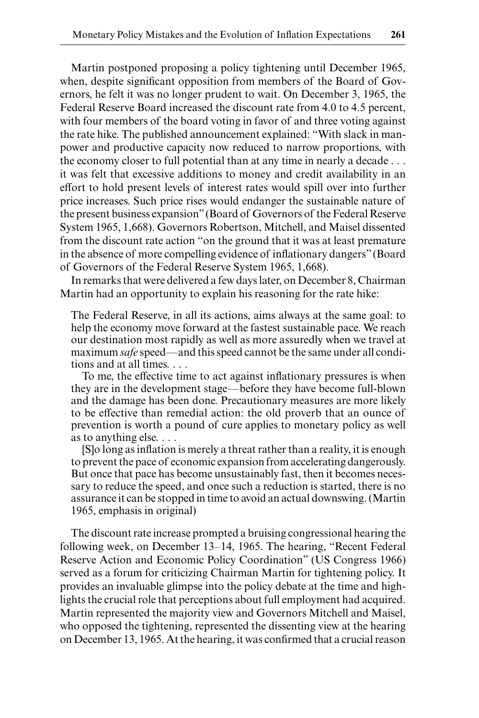Martin postponed proposing a policy tightening until December 1965, when, despite significant opposition from members of the Board of Governors, he felt it was no longer prudent to wait. On December 3, 1965, the Federal Reserve Board increased the discount rate from 4.0 to 4.5 percent, with four members of the board voting in favor of and three voting against the rate hike. The published announcement explained: "With slack in manpower and productive capacity now reduced to narrow proportions, with the economy closer to full potential than at any time in nearly a decade . . . it was felt that excessive additions to money and credit availability in an effort to hold present levels of interest rates would spill over into further price increases. Such price rises would endanger the sustainable nature of the present business expansion" (Board of Governors of the Federal Reserve System 1965, 1,668). Governors Robertson, Mitchell, and Maisel dissented from the discount rate action "on the ground that it was at least premature in the absence of more compelling evidence of inflationary dangers" (Board of Governors of the Federal Reserve System 1965, 1,668).

In remarks that were delivered a few days later, on December 8, Chairman Martin had an opportunity to explain his reasoning for the rate hike:

The Federal Reserve, in all its actions, aims always at the same goal: to help the economy move forward at the fastest sustainable pace. We reach our destination most rapidly as well as more assuredly when we travel at maximum *safe* speed—and this speed cannot be the same under all conditions and at all times. . . .

To me, the effective time to act against inflationary pressures is when they are in the development stage—before they have become full- blown and the damage has been done. Precautionary measures are more likely to be effective than remedial action: the old proverb that an ounce of prevention is worth a pound of cure applies to monetary policy as well as to anything else. . . .

[S]o long as inflation is merely a threat rather than a reality, it is enough to prevent the pace of economic expansion from accelerating dangerously. But once that pace has become unsustainably fast, then it becomes necessary to reduce the speed, and once such a reduction is started, there is no assurance it can be stopped in time to avoid an actual downswing. (Martin 1965, emphasis in original)

The discount rate increase prompted a bruising congressional hearing the following week, on December 13–14, 1965. The hearing, "Recent Federal Reserve Action and Economic Policy Coordination" (US Congress 1966) served as a forum for criticizing Chairman Martin for tightening policy. It provides an invaluable glimpse into the policy debate at the time and highlights the crucial role that perceptions about full employment had acquired. Martin represented the majority view and Governors Mitchell and Maisel, who opposed the tightening, represented the dissenting view at the hearing on December 13, 1965. At the hearing, it was confirmed that a crucial reason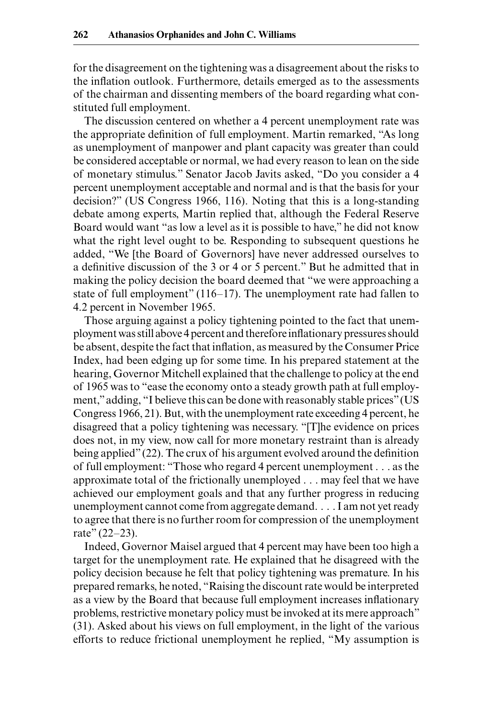for the disagreement on the tightening was a disagreement about the risks to the inflation outlook. Furthermore, details emerged as to the assessments of the chairman and dissenting members of the board regarding what constituted full employment.

The discussion centered on whether a 4 percent unemployment rate was the appropriate definition of full employment. Martin remarked, "As long as unemployment of manpower and plant capacity was greater than could be considered acceptable or normal, we had every reason to lean on the side of monetary stimulus." Senator Jacob Javits asked, "Do you consider a 4 percent unemployment acceptable and normal and is that the basis for your decision?" (US Congress 1966, 116). Noting that this is a long- standing debate among experts, Martin replied that, although the Federal Reserve Board would want "as low a level as it is possible to have," he did not know what the right level ought to be. Responding to subsequent questions he added, "We [the Board of Governors] have never addressed ourselves to a definitive discussion of the 3 or 4 or 5 percent." But he admitted that in making the policy decision the board deemed that "we were approaching a state of full employment" (116–17). The unemployment rate had fallen to 4.2 percent in November 1965.

Those arguing against a policy tightening pointed to the fact that unemployment was still above 4 percent and therefore inflationary pressures should be absent, despite the fact that inflation, as measured by the Consumer Price Index, had been edging up for some time. In his prepared statement at the hearing, Governor Mitchell explained that the challenge to policy at the end of 1965 was to "ease the economy onto a steady growth path at full employment," adding, "I believe this can be done with reasonably stable prices" (US Congress 1966, 21). But, with the unemployment rate exceeding 4 percent, he disagreed that a policy tightening was necessary. "[T]he evidence on prices does not, in my view, now call for more monetary restraint than is already being applied" (22). The crux of his argument evolved around the definition of full employment: "Those who regard 4 percent unemployment . . . as the approximate total of the frictionally unemployed . . . may feel that we have achieved our employment goals and that any further progress in reducing unemployment cannot come from aggregate demand. . . . I am not yet ready to agree that there is no further room for compression of the unemployment rate" (22–23).

Indeed, Governor Maisel argued that 4 percent may have been too high a target for the unemployment rate. He explained that he disagreed with the policy decision because he felt that policy tightening was premature. In his prepared remarks, he noted, "Raising the discount rate would be interpreted as a view by the Board that because full employment increases inflationary problems, restrictive monetary policy must be invoked at its mere approach" (31). Asked about his views on full employment, in the light of the various efforts to reduce frictional unemployment he replied, "My assumption is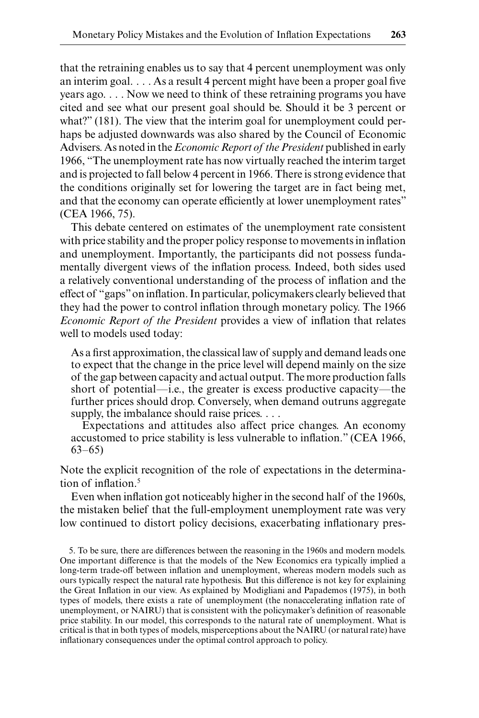that the retraining enables us to say that 4 percent unemployment was only an interim goal.  $\ldots$  As a result 4 percent might have been a proper goal five years ago. . . . Now we need to think of these retraining programs you have cited and see what our present goal should be. Should it be 3 percent or what?" (181). The view that the interim goal for unemployment could perhaps be adjusted downwards was also shared by the Council of Economic Advisers. As noted in the *Economic Report of the President* published in early 1966, "The unemployment rate has now virtually reached the interim target and is projected to fall below 4 percent in 1966. There is strong evidence that the conditions originally set for lowering the target are in fact being met, and that the economy can operate efficiently at lower unemployment rates" (CEA 1966, 75).

This debate centered on estimates of the unemployment rate consistent with price stability and the proper policy response to movements in inflation and unemployment. Importantly, the participants did not possess fundamentally divergent views of the inflation process. Indeed, both sides used a relatively conventional understanding of the process of inflation and the effect of "gaps" on inflation. In particular, policymakers clearly believed that they had the power to control inflation through monetary policy. The 1966 *Economic Report of the President* provides a view of inflation that relates well to models used today:

As a first approximation, the classical law of supply and demand leads one to expect that the change in the price level will depend mainly on the size of the gap between capacity and actual output. The more production falls short of potential—i.e., the greater is excess productive capacity—the further prices should drop. Conversely, when demand outruns aggregate supply, the imbalance should raise prices. . . .

Expectations and attitudes also affect price changes. An economy accustomed to price stability is less vulnerable to inflation." (CEA 1966, 63–65)

Note the explicit recognition of the role of expectations in the determination of inflation. $5$ 

Even when inflation got noticeably higher in the second half of the 1960s, the mistaken belief that the full-employment unemployment rate was very low continued to distort policy decisions, exacerbating inflationary pres-

5. To be sure, there are differences between the reasoning in the 1960s and modern models. One important difference is that the models of the New Economics era typically implied a long-term trade-off between inflation and unemployment, whereas modern models such as ours typically respect the natural rate hypothesis. But this difference is not key for explaining the Great Inflation in our view. As explained by Modigliani and Papademos (1975), in both types of models, there exists a rate of unemployment (the nonaccelerating inflation rate of unemployment, or NAIRU) that is consistent with the policymaker's definition of reasonable price stability. In our model, this corresponds to the natural rate of unemployment. What is critical is that in both types of models, misperceptions about the NAIRU (or natural rate) have inflationary consequences under the optimal control approach to policy.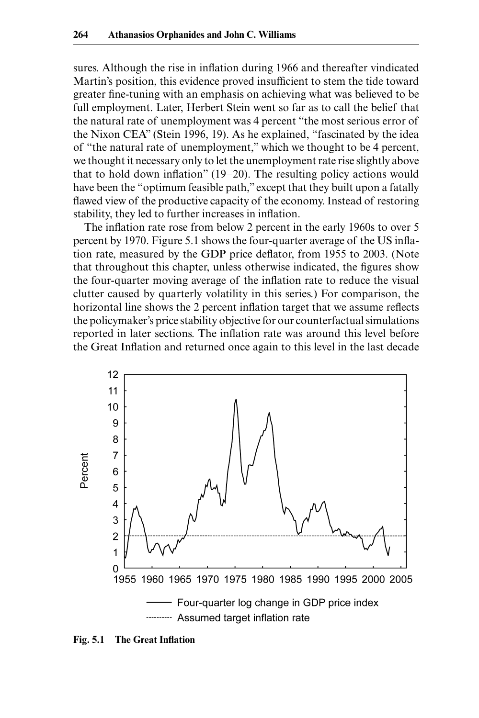sures. Although the rise in inflation during 1966 and thereafter vindicated Martin's position, this evidence proved insufficient to stem the tide toward greater fine-tuning with an emphasis on achieving what was believed to be full employment. Later, Herbert Stein went so far as to call the belief that the natural rate of unemployment was 4 percent "the most serious error of the Nixon CEA" (Stein 1996, 19). As he explained, "fascinated by the idea of "the natural rate of unemployment," which we thought to be 4 percent, we thought it necessary only to let the unemployment rate rise slightly above that to hold down inflation"  $(19–20)$ . The resulting policy actions would have been the "optimum feasible path," except that they built upon a fatally flawed view of the productive capacity of the economy. Instead of restoring stability, they led to further increases in inflation.

The inflation rate rose from below 2 percent in the early 1960s to over 5 percent by 1970. Figure 5.1 shows the four-quarter average of the US inflation rate, measured by the GDP price deflator, from 1955 to 2003. (Note that throughout this chapter, unless otherwise indicated, the figures show the four-quarter moving average of the inflation rate to reduce the visual clutter caused by quarterly volatility in this series.) For comparison, the horizontal line shows the 2 percent inflation target that we assume reflects the policymaker's price stability objective for our counterfactual simulations reported in later sections. The inflation rate was around this level before the Great Inflation and returned once again to this level in the last decade



**Fig. 5.1 The Great Inflation**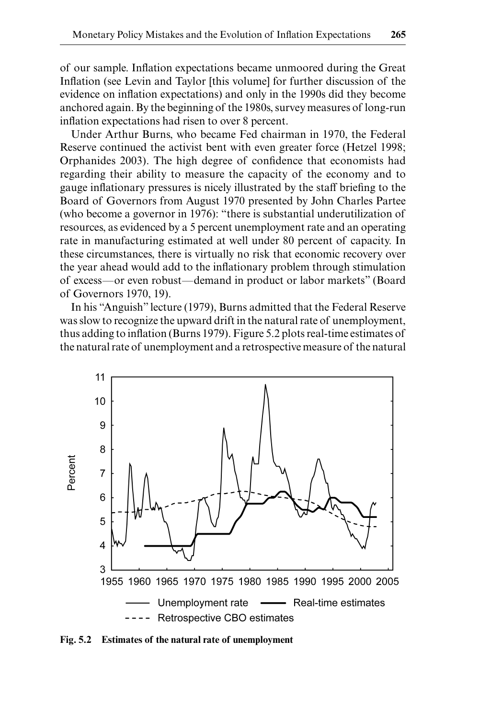of our sample. Inflation expectations became unmoored during the Great Inflation (see Levin and Taylor [this volume] for further discussion of the evidence on inflation expectations) and only in the 1990s did they become anchored again. By the beginning of the 1980s, survey measures of long-run inflation expectations had risen to over 8 percent.

Under Arthur Burns, who became Fed chairman in 1970, the Federal Reserve continued the activist bent with even greater force (Hetzel 1998; Orphanides 2003). The high degree of confidence that economists had regarding their ability to measure the capacity of the economy and to gauge inflationary pressures is nicely illustrated by the staff briefing to the Board of Governors from August 1970 presented by John Charles Partee (who become a governor in 1976): "there is substantial underutilization of resources, as evidenced by a 5 percent unemployment rate and an operating rate in manufacturing estimated at well under 80 percent of capacity. In these circumstances, there is virtually no risk that economic recovery over the year ahead would add to the inflationary problem through stimulation of excess—or even robust—demand in product or labor markets" (Board of Governors 1970, 19).

In his "Anguish" lecture (1979), Burns admitted that the Federal Reserve was slow to recognize the upward drift in the natural rate of unemployment, thus adding to inflation (Burns 1979). Figure 5.2 plots real-time estimates of the natural rate of unemployment and a retrospective measure of the natural



**Fig. 5.2 Estimates of the natural rate of unemployment**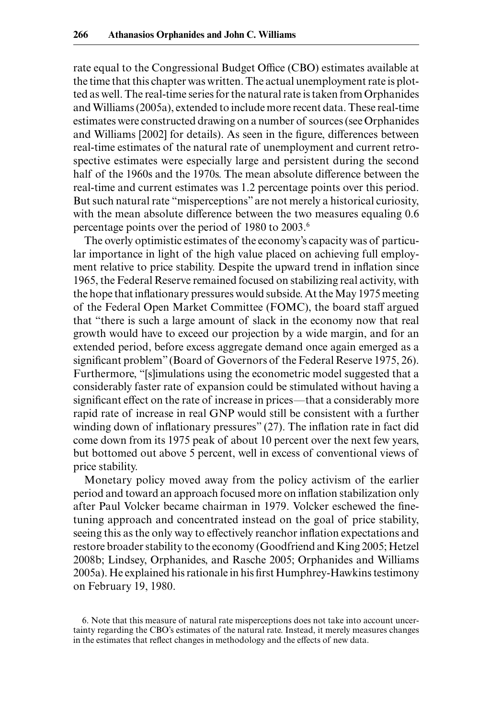rate equal to the Congressional Budget Office (CBO) estimates available at the time that this chapter was written. The actual unemployment rate is plotted as well. The real- time series for the natural rate is taken from Orphanides and Williams (2005a), extended to include more recent data. These real- time estimates were constructed drawing on a number of sources (see Orphanides and Williams [2002] for details). As seen in the figure, differences between real- time estimates of the natural rate of unemployment and current retrospective estimates were especially large and persistent during the second half of the 1960s and the 1970s. The mean absolute difference between the real- time and current estimates was 1.2 percentage points over this period. But such natural rate "misperceptions" are not merely a historical curiosity, with the mean absolute difference between the two measures equaling 0.6 percentage points over the period of 1980 to 2003.<sup>6</sup>

The overly optimistic estimates of the economy's capacity was of particular importance in light of the high value placed on achieving full employment relative to price stability. Despite the upward trend in inflation since 1965, the Federal Reserve remained focused on stabilizing real activity, with the hope that inflationary pressures would subside. At the May 1975 meeting of the Federal Open Market Committee (FOMC), the board staff argued that "there is such a large amount of slack in the economy now that real growth would have to exceed our projection by a wide margin, and for an extended period, before excess aggregate demand once again emerged as a significant problem" (Board of Governors of the Federal Reserve 1975, 26). Furthermore, "[s]imulations using the econometric model suggested that a considerably faster rate of expansion could be stimulated without having a significant effect on the rate of increase in prices—that a considerably more rapid rate of increase in real GNP would still be consistent with a further winding down of inflationary pressures"  $(27)$ . The inflation rate in fact did come down from its 1975 peak of about 10 percent over the next few years, but bottomed out above 5 percent, well in excess of conventional views of price stability.

Monetary policy moved away from the policy activism of the earlier period and toward an approach focused more on inflation stabilization only after Paul Volcker became chairman in 1979. Volcker eschewed the finetuning approach and concentrated instead on the goal of price stability, seeing this as the only way to effectively reanchor inflation expectations and restore broader stability to the economy (Goodfriend and King 2005; Hetzel 2008b; Lindsey, Orphanides, and Rasche 2005; Orphanides and Williams 2005a). He explained his rationale in his first Humphrey-Hawkins testimony on February 19, 1980.

<sup>6.</sup> Note that this measure of natural rate misperceptions does not take into account uncertainty regarding the CBO's estimates of the natural rate. Instead, it merely measures changes in the estimates that reflect changes in methodology and the effects of new data.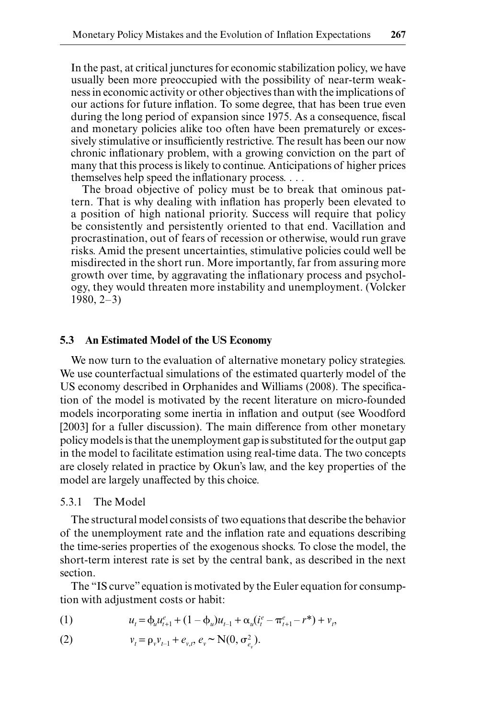In the past, at critical junctures for economic stabilization policy, we have usually been more preoccupied with the possibility of near- term weakness in economic activity or other objectives than with the implications of our actions for future inflation. To some degree, that has been true even during the long period of expansion since 1975. As a consequence, fiscal and monetary policies alike too often have been prematurely or excessively stimulative or insufficiently restrictive. The result has been our now chronic inflationary problem, with a growing conviction on the part of many that this process is likely to continue. Anticipations of higher prices themselves help speed the inflationary process.  $\dots$ 

The broad objective of policy must be to break that ominous pattern. That is why dealing with inflation has properly been elevated to a position of high national priority. Success will require that policy be consistently and persistently oriented to that end. Vacillation and procrastination, out of fears of recession or otherwise, would run grave risks. Amid the present uncertainties, stimulative policies could well be misdirected in the short run. More importantly, far from assuring more growth over time, by aggravating the inflationary process and psychology, they would threaten more instability and unemployment. (Volcker 1980, 2–3)

#### **5.3 An Estimated Model of the US Economy**

We now turn to the evaluation of alternative monetary policy strategies. We use counterfactual simulations of the estimated quarterly model of the US economy described in Orphanides and Williams (2008). The specification of the model is motivated by the recent literature on micro- founded models incorporating some inertia in inflation and output (see Woodford [2003] for a fuller discussion). The main difference from other monetary policy models is that the unemployment gap is substituted for the output gap in the model to facilitate estimation using real- time data. The two concepts are closely related in practice by Okun's law, and the key properties of the model are largely unaffected by this choice.

## 5.3.1 The Model

The structural model consists of two equations that describe the behavior of the unemployment rate and the inflation rate and equations describing the time- series properties of the exogenous shocks. To close the model, the short- term interest rate is set by the central bank, as described in the next section.

The "IS curve" equation is motivated by the Euler equation for consumption with adjustment costs or habit:

(1) 
$$
u_{t} = \phi_{u} u_{t+1}^{e} + (1 - \phi_{u}) u_{t-1} + \alpha_{u} (i_{t}^{e} - \pi_{t+1}^{e} - r^{*}) + v_{t},
$$

(2) 
$$
v_t = \rho_v v_{t-1} + e_{v,t}, e_v \sim N(0, \sigma_{e_v}^2).
$$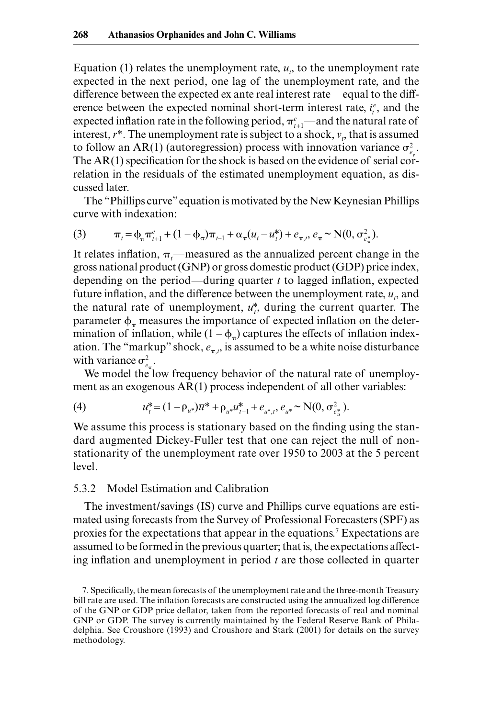Equation  $(1)$  relates the unemployment rate,  $u_t$ , to the unemployment rate expected in the next period, one lag of the unemployment rate, and the difference between the expected ex ante real interest rate—equal to the difference between the expected nominal short-term interest rate,  $i_t^e$ , and the expected inflation rate in the following period,  $\pi_{t+1}^e$ —and the natural rate of interest,  $r^*$ . The unemployment rate is subject to a shock,  $v_t$ , that is assumed to follow an AR(1) (autoregression) process with innovation variance  $\sigma_{e_y}^2$ . The  $AR(1)$  specification for the shock is based on the evidence of serial correlation in the residuals of the estimated unemployment equation, as discussed later.

The "Phillips curve" equation is motivated by the New Keynesian Phillips curve with indexation:

(3) 
$$
\pi_{t} = \phi_{\pi} \pi_{t+1}^{e} + (1 - \phi_{\pi}) \pi_{t-1} + \alpha_{\pi} (u_{t} - u_{t}^{*}) + e_{\pi, t}, e_{\pi} \sim N(0, \sigma_{e_{\pi}}^{2}).
$$

It relates inflation,  $\pi$ ,—measured as the annualized percent change in the gross national product (GNP) or gross domestic product (GDP) price index, depending on the period—during quarter  $t$  to lagged inflation, expected future inflation, and the difference between the unemployment rate,  $u_t$ , and the natural rate of unemployment,  $u_t^*$ , during the current quarter. The parameter  $\phi$ <sub>r</sub> measures the importance of expected inflation on the determination of inflation, while  $(1 - \phi_{\pi})$  captures the effects of inflation indexation. The "markup" shock,  $e_{\pi,t}$  is assumed to be a white noise disturbance with variance  $\sigma_{e_{\pi}}^2$ .

We model the low frequency behavior of the natural rate of unemployment as an exogenous AR(1) process independent of all other variables:

(4) 
$$
u_t^* = (1 - \rho_{u^*}) \overline{u}^* + \rho_{u^*} u_{t-1}^* + e_{u^*,t}, \quad e_{u^*} \sim N(0, \sigma_{e^*_u}^*)
$$

We assume this process is stationary based on the finding using the standard augmented Dickey-Fuller test that one can reject the null of nonstationarity of the unemployment rate over 1950 to 2003 at the 5 percent level.

### 5.3.2 Model Estimation and Calibration

The investment/savings (IS) curve and Phillips curve equations are estimated using forecasts from the Survey of Professional Forecasters (SPF) as proxies for the expectations that appear in the equations.7 Expectations are assumed to be formed in the previous quarter; that is, the expectations affecting inflation and unemployment in period  $t$  are those collected in quarter

<sup>7.</sup> Specifi cally, the mean forecasts of the unemployment rate and the three- month Treasury bill rate are used. The inflation forecasts are constructed using the annualized log difference of the GNP or GDP price deflator, taken from the reported forecasts of real and nominal GNP or GDP. The survey is currently maintained by the Federal Reserve Bank of Philadelphia. See Croushore (1993) and Croushore and Stark (2001) for details on the survey methodology.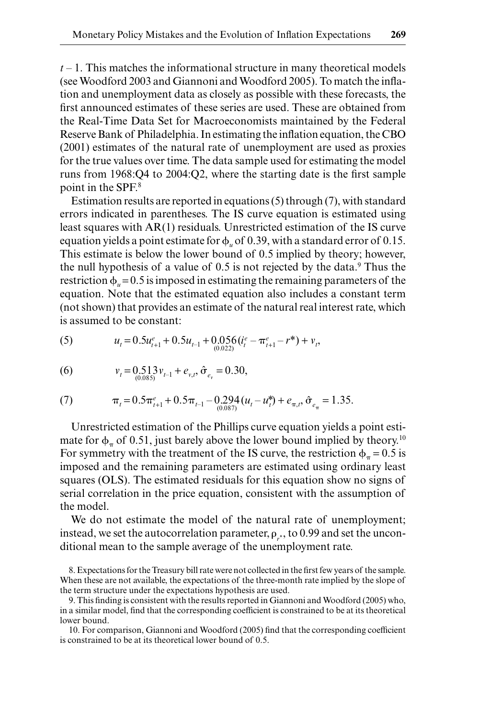*t* – 1. This matches the informational structure in many theoretical models (see Woodford 2003 and Giannoni and Woodford 2005). To match the inflation and unemployment data as closely as possible with these forecasts, the first announced estimates of these series are used. These are obtained from the Real- Time Data Set for Macroeconomists maintained by the Federal Reserve Bank of Philadelphia. In estimating the inflation equation, the CBO (2001) estimates of the natural rate of unemployment are used as proxies for the true values over time. The data sample used for estimating the model runs from  $1968:Q4$  to  $2004:Q2$ , where the starting date is the first sample point in the SPF.8

Estimation results are reported in equations (5) through (7), with standard errors indicated in parentheses. The IS curve equation is estimated using least squares with AR(1) residuals. Unrestricted estimation of the IS curve equation yields a point estimate for  $\phi_{\nu}$  of 0.39, with a standard error of 0.15. This estimate is below the lower bound of 0.5 implied by theory; however, the null hypothesis of a value of  $0.5$  is not rejected by the data.<sup>9</sup> Thus the restriction  $\phi_{\nu} = 0.5$  is imposed in estimating the remaining parameters of the equation. Note that the estimated equation also includes a constant term (not shown) that provides an estimate of the natural real interest rate, which is assumed to be constant:

(5) 
$$
u_t = 0.5u_{t+1}^e + 0.5u_{t-1} + 0.056(i_t^e - \pi_{t+1}^e - r^*) + v_t,
$$

(6) 
$$
v_t = 0.513 v_{t-1} + e_{v,t}, \hat{\sigma}_{e_v} = 0.30,
$$

(7) 
$$
\pi_t = 0.5\pi_{t+1}^e + 0.5\pi_{t-1} - 0.294(u_t - u_t^*) + e_{\pi,t}, \hat{\sigma}_{e_{\pi}} = 1.35.
$$

Unrestricted estimation of the Phillips curve equation yields a point estimate for  $\phi_{\pi}$  of 0.51, just barely above the lower bound implied by theory.<sup>10</sup> For symmetry with the treatment of the IS curve, the restriction  $\phi_{\pi} = 0.5$  is imposed and the remaining parameters are estimated using ordinary least squares (OLS). The estimated residuals for this equation show no signs of serial correlation in the price equation, consistent with the assumption of the model.

We do not estimate the model of the natural rate of unemployment; instead, we set the autocorrelation parameter,  $\rho_{\mu}$ , to 0.99 and set the unconditional mean to the sample average of the unemployment rate.

<sup>8.</sup> Expectations for the Treasury bill rate were not collected in the first few years of the sample. When these are not available, the expectations of the three- month rate implied by the slope of the term structure under the expectations hypothesis are used.

<sup>9.</sup> This finding is consistent with the results reported in Giannoni and Woodford (2005) who, in a similar model, find that the corresponding coefficient is constrained to be at its theoretical lower bound.

<sup>10.</sup> For comparison, Giannoni and Woodford (2005) find that the corresponding coefficient is constrained to be at its theoretical lower bound of 0.5.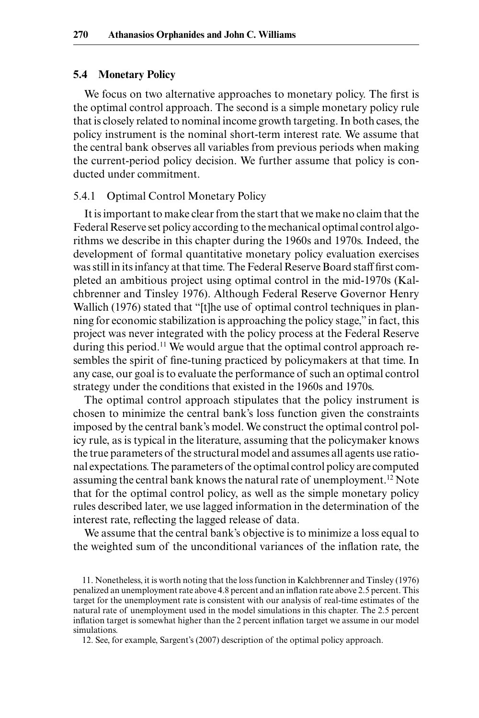# **5.4 Monetary Policy**

We focus on two alternative approaches to monetary policy. The first is the optimal control approach. The second is a simple monetary policy rule that is closely related to nominal income growth targeting. In both cases, the policy instrument is the nominal short- term interest rate. We assume that the central bank observes all variables from previous periods when making the current- period policy decision. We further assume that policy is conducted under commitment.

# 5.4.1 Optimal Control Monetary Policy

It is important to make clear from the start that we make no claim that the Federal Reserve set policy according to the mechanical optimal control algorithms we describe in this chapter during the 1960s and 1970s. Indeed, the development of formal quantitative monetary policy evaluation exercises was still in its infancy at that time. The Federal Reserve Board staff first completed an ambitious project using optimal control in the mid- 1970s (Kalchbrenner and Tinsley 1976). Although Federal Reserve Governor Henry Wallich (1976) stated that "[t]he use of optimal control techniques in planning for economic stabilization is approaching the policy stage," in fact, this project was never integrated with the policy process at the Federal Reserve during this period.<sup>11</sup> We would argue that the optimal control approach resembles the spirit of fine-tuning practiced by policymakers at that time. In any case, our goal is to evaluate the performance of such an optimal control strategy under the conditions that existed in the 1960s and 1970s.

The optimal control approach stipulates that the policy instrument is chosen to minimize the central bank's loss function given the constraints imposed by the central bank's model. We construct the optimal control policy rule, as is typical in the literature, assuming that the policymaker knows the true parameters of the structural model and assumes all agents use rational expectations. The parameters of the optimal control policy are computed assuming the central bank knows the natural rate of unemployment.<sup>12</sup> Note that for the optimal control policy, as well as the simple monetary policy rules described later, we use lagged information in the determination of the interest rate, reflecting the lagged release of data.

We assume that the central bank's objective is to minimize a loss equal to the weighted sum of the unconditional variances of the inflation rate, the

12. See, for example, Sargent's (2007) description of the optimal policy approach.

<sup>11.</sup> Nonetheless, it is worth noting that the loss function in Kalchbrenner and Tinsley (1976) penalized an unemployment rate above 4.8 percent and an infl ation rate above 2.5 percent. This target for the unemployment rate is consistent with our analysis of real- time estimates of the natural rate of unemployment used in the model simulations in this chapter. The 2.5 percent inflation target is somewhat higher than the 2 percent inflation target we assume in our model simulations.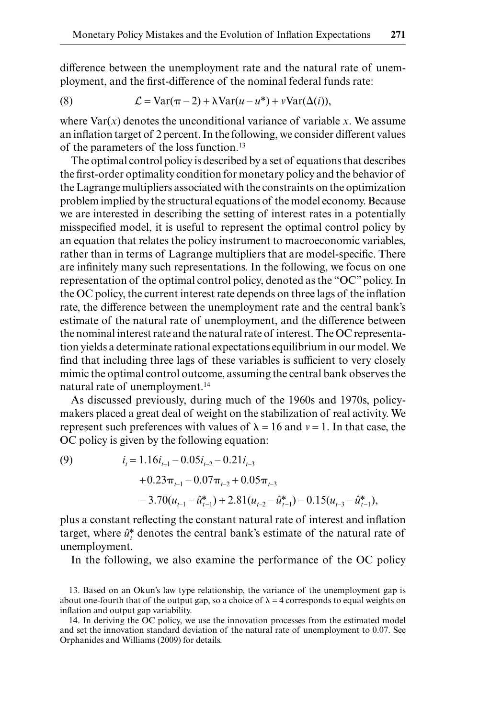difference between the unemployment rate and the natural rate of unemployment, and the first-difference of the nominal federal funds rate:

(8) 
$$
\mathcal{L} = \text{Var}(\pi - 2) + \lambda \text{Var}(u - u^*) + v \text{Var}(\Delta(i)),
$$

where  $\text{Var}(x)$  denotes the unconditional variance of variable *x*. We assume an inflation target of 2 percent. In the following, we consider different values of the parameters of the loss function.13

The optimal control policy is described by a set of equations that describes the first-order optimality condition for monetary policy and the behavior of the Lagrange multipliers associated with the constraints on the optimization problem implied by the structural equations of the model economy. Because we are interested in describing the setting of interest rates in a potentially misspecified model, it is useful to represent the optimal control policy by an equation that relates the policy instrument to macroeconomic variables, rather than in terms of Lagrange multipliers that are model-specific. There are infinitely many such representations. In the following, we focus on one representation of the optimal control policy, denoted as the "OC" policy. In the OC policy, the current interest rate depends on three lags of the inflation rate, the difference between the unemployment rate and the central bank's estimate of the natural rate of unemployment, and the difference between the nominal interest rate and the natural rate of interest. The OC representation yields a determinate rational expectations equilibrium in our model. We find that including three lags of these variables is sufficient to very closely mimic the optimal control outcome, assuming the central bank observes the natural rate of unemployment.<sup>14</sup>

As discussed previously, during much of the 1960s and 1970s, policymakers placed a great deal of weight on the stabilization of real activity. We represent such preferences with values of  $\lambda = 16$  and  $v = 1$ . In that case, the OC policy is given by the following equation:

(9)  $i_1 = 1.16i_{t-1} - 0.05i_{t-2} - 0.21i_{t-3}$  $+ 0.23\pi_{1,1} - 0.07\pi_{1,2} + 0.05\pi_{1,3}$  $-3.70(u_{t-1} - \hat{u}_{t-1}^*) + 2.81(u_{t-2} - \hat{u}_{t-1}^*) - 0.15(u_{t-3} - \hat{u}_{t-1}^*),$ 

plus a constant reflecting the constant natural rate of interest and inflation target, where  $\hat{u}^*_{t}$  denotes the central bank's estimate of the natural rate of unemployment.

In the following, we also examine the performance of the OC policy

14. In deriving the OC policy, we use the innovation processes from the estimated model and set the innovation standard deviation of the natural rate of unemployment to 0.07. See Orphanides and Williams (2009) for details.

<sup>13.</sup> Based on an Okun's law type relationship, the variance of the unemployment gap is about one-fourth that of the output gap, so a choice of  $\lambda = 4$  corresponds to equal weights on inflation and output gap variability.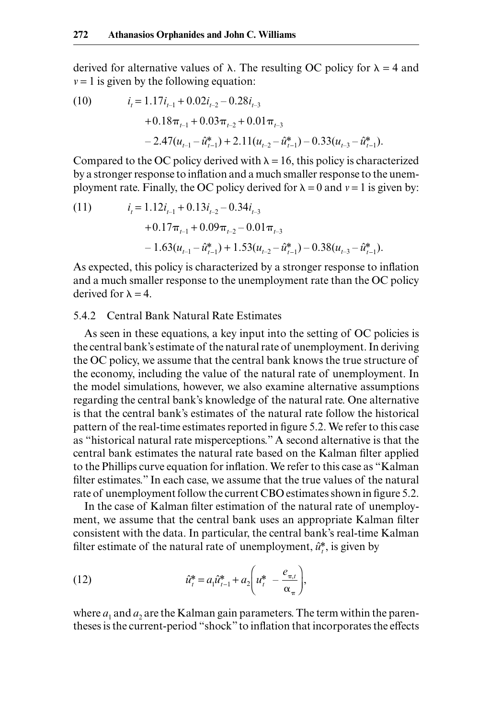derived for alternative values of  $\lambda$ . The resulting OC policy for  $\lambda = 4$  and  $v = 1$  is given by the following equation:

(10) 
$$
i_{t} = 1.17i_{t-1} + 0.02i_{t-2} - 0.28i_{t-3} + 0.18\pi_{t-1} + 0.03\pi_{t-2} + 0.01\pi_{t-3} - 2.47(u_{t-1} - \hat{u}_{t-1}^{*}) + 2.11(u_{t-2} - \hat{u}_{t-1}^{*}) - 0.33(u_{t-3} - \hat{u}_{t-1}^{*}).
$$

Compared to the OC policy derived with  $\lambda = 16$ , this policy is characterized by a stronger response to inflation and a much smaller response to the unemployment rate. Finally, the OC policy derived for  $\lambda = 0$  and  $v = 1$  is given by:

(11) 
$$
i_{t} = 1.12i_{t-1} + 0.13i_{t-2} - 0.34i_{t-3} + 0.17\pi_{t-1} + 0.09\pi_{t-2} - 0.01\pi_{t-3} - 1.63(u_{t-1} - \hat{u}_{t-1}^{*}) + 1.53(u_{t-2} - \hat{u}_{t-1}^{*}) - 0.38(u_{t-3} - \hat{u}_{t-1}^{*}).
$$

As expected, this policy is characterized by a stronger response to inflation and a much smaller response to the unemployment rate than the OC policy derived for  $\lambda = 4$ .

# 5.4.2 Central Bank Natural Rate Estimates

As seen in these equations, a key input into the setting of OC policies is the central bank's estimate of the natural rate of unemployment. In deriving the OC policy, we assume that the central bank knows the true structure of the economy, including the value of the natural rate of unemployment. In the model simulations, however, we also examine alternative assumptions regarding the central bank's knowledge of the natural rate. One alternative is that the central bank's estimates of the natural rate follow the historical pattern of the real-time estimates reported in figure 5.2. We refer to this case as "historical natural rate misperceptions." A second alternative is that the central bank estimates the natural rate based on the Kalman filter applied to the Phillips curve equation for inflation. We refer to this case as "Kalman" filter estimates." In each case, we assume that the true values of the natural rate of unemployment follow the current CBO estimates shown in figure 5.2.

In the case of Kalman filter estimation of the natural rate of unemployment, we assume that the central bank uses an appropriate Kalman filter consistent with the data. In particular, the central bank's real- time Kalman filter estimate of the natural rate of unemployment,  $\hat{u}^*$ , is given by

(12) 
$$
\hat{u}_t^* = a_1 \hat{u}_{t-1}^* + a_2 \left( u_t^* - \frac{e_{\pi,t}}{\alpha_{\pi}} \right),
$$

where  $a_1$  and  $a_2$  are the Kalman gain parameters. The term within the parentheses is the current-period "shock" to inflation that incorporates the effects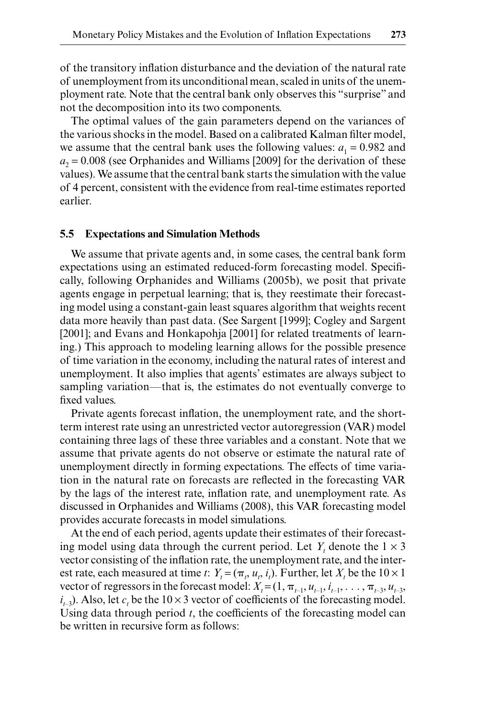of the transitory inflation disturbance and the deviation of the natural rate of unemployment from its unconditional mean, scaled in units of the unemployment rate. Note that the central bank only observes this "surprise" and not the decomposition into its two components.

The optimal values of the gain parameters depend on the variances of the various shocks in the model. Based on a calibrated Kalman filter model, we assume that the central bank uses the following values:  $a_1 = 0.982$  and  $a_2$  = 0.008 (see Orphanides and Williams [2009] for the derivation of these values). We assume that the central bank starts the simulation with the value of 4 percent, consistent with the evidence from real- time estimates reported earlier.

#### **5.5 Expectations and Simulation Methods**

We assume that private agents and, in some cases, the central bank form expectations using an estimated reduced-form forecasting model. Specifically, following Orphanides and Williams (2005b), we posit that private agents engage in perpetual learning; that is, they reestimate their forecasting model using a constant- gain least squares algorithm that weights recent data more heavily than past data. (See Sargent [1999]; Cogley and Sargent [2001]; and Evans and Honkapohja [2001] for related treatments of learning.) This approach to modeling learning allows for the possible presence of time variation in the economy, including the natural rates of interest and unemployment. It also implies that agents' estimates are always subject to sampling variation—that is, the estimates do not eventually converge to fixed values.

Private agents forecast inflation, the unemployment rate, and the shortterm interest rate using an unrestricted vector autoregression (VAR) model containing three lags of these three variables and a constant. Note that we assume that private agents do not observe or estimate the natural rate of unemployment directly in forming expectations. The effects of time variation in the natural rate on forecasts are reflected in the forecasting VAR by the lags of the interest rate, inflation rate, and unemployment rate. As discussed in Orphanides and Williams (2008), this VAR forecasting model provides accurate forecasts in model simulations.

At the end of each period, agents update their estimates of their forecasting model using data through the current period. Let  $Y_t$  denote the  $1 \times 3$ vector consisting of the inflation rate, the unemployment rate, and the interest rate, each measured at time *t*:  $Y_t = (\pi_t, u_t, i_t)$ . Further, let  $X_t$  be the  $10 \times 1$ vector of regressors in the forecast model:  $X_i = (1, \pi_{i-1}, u_{i-1}, i_{i-1}, \ldots, \pi_{i-3}, u_{i-3},$  $i_{t-3}$ ). Also, let  $c_t$  be the 10 × 3 vector of coefficients of the forecasting model. Using data through period *t*, the coefficients of the forecasting model can be written in recursive form as follows: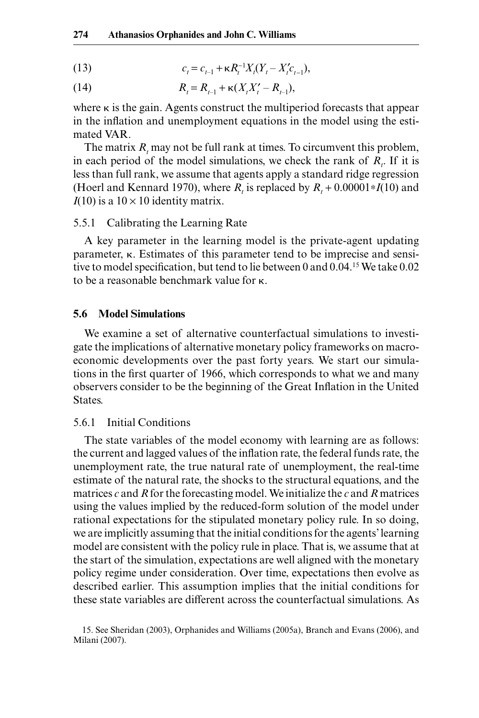(13) 
$$
c_t = c_{t-1} + \kappa R_t^{-1} X_t (Y_t - X_t' c_{t-1}),
$$

(14) 
$$
R_{t} = R_{t-1} + \kappa (X_{t} X_{t}' - R_{t-1}),
$$

where  $\kappa$  is the gain. Agents construct the multiperiod forecasts that appear in the inflation and unemployment equations in the model using the estimated VAR.

The matrix  $R_t$  may not be full rank at times. To circumvent this problem, in each period of the model simulations, we check the rank of  $R_t$ . If it is less than full rank, we assume that agents apply a standard ridge regression (Hoerl and Kennard 1970), where  $R_t$  is replaced by  $R_t + 0.00001 * I(10)$  and  $I(10)$  is a  $10 \times 10$  identity matrix.

#### 5.5.1 Calibrating the Learning Rate

A key parameter in the learning model is the private- agent updating parameter,  $\kappa$ . Estimates of this parameter tend to be imprecise and sensitive to model specification, but tend to lie between 0 and  $0.04$ .<sup>15</sup> We take  $0.02$ to be a reasonable benchmark value for  $\kappa$ .

#### **5.6 Model Simulations**

We examine a set of alternative counterfactual simulations to investigate the implications of alternative monetary policy frameworks on macroeconomic developments over the past forty years. We start our simulations in the first quarter of 1966, which corresponds to what we and many observers consider to be the beginning of the Great Inflation in the United States.

# 5.6.1 Initial Conditions

The state variables of the model economy with learning are as follows: the current and lagged values of the inflation rate, the federal funds rate, the unemployment rate, the true natural rate of unemployment, the real-time estimate of the natural rate, the shocks to the structural equations, and the matrices *c* and *R* for the forecasting model. We initialize the *c* and *R* matrices using the values implied by the reduced- form solution of the model under rational expectations for the stipulated monetary policy rule. In so doing, we are implicitly assuming that the initial conditions for the agents' learning model are consistent with the policy rule in place. That is, we assume that at the start of the simulation, expectations are well aligned with the monetary policy regime under consideration. Over time, expectations then evolve as described earlier. This assumption implies that the initial conditions for these state variables are different across the counterfactual simulations. As

15. See Sheridan (2003), Orphanides and Williams (2005a), Branch and Evans (2006), and Milani (2007).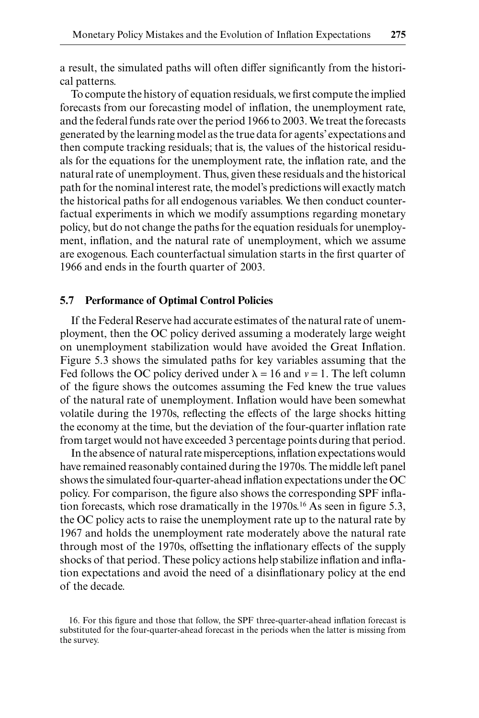a result, the simulated paths will often differ significantly from the historical patterns.

To compute the history of equation residuals, we first compute the implied forecasts from our forecasting model of inflation, the unemployment rate, and the federal funds rate over the period 1966 to 2003. We treat the forecasts generated by the learning model as the true data for agents' expectations and then compute tracking residuals; that is, the values of the historical residuals for the equations for the unemployment rate, the inflation rate, and the natural rate of unemployment. Thus, given these residuals and the historical path for the nominal interest rate, the model's predictions will exactly match the historical paths for all endogenous variables. We then conduct counterfactual experiments in which we modify assumptions regarding monetary policy, but do not change the paths for the equation residuals for unemployment, inflation, and the natural rate of unemployment, which we assume are exogenous. Each counterfactual simulation starts in the first quarter of 1966 and ends in the fourth quarter of 2003.

## **5.7 Performance of Optimal Control Policies**

If the Federal Reserve had accurate estimates of the natural rate of unemployment, then the OC policy derived assuming a moderately large weight on unemployment stabilization would have avoided the Great Inflation. Figure 5.3 shows the simulated paths for key variables assuming that the Fed follows the OC policy derived under  $\lambda = 16$  and  $v = 1$ . The left column of the figure shows the outcomes assuming the Fed knew the true values of the natural rate of unemployment. Inflation would have been somewhat volatile during the 1970s, reflecting the effects of the large shocks hitting the economy at the time, but the deviation of the four-quarter inflation rate from target would not have exceeded 3 percentage points during that period.

In the absence of natural rate misperceptions, inflation expectations would have remained reasonably contained during the 1970s. The middle left panel shows the simulated four-quarter-ahead inflation expectations under the OC policy. For comparison, the figure also shows the corresponding SPF inflation forecasts, which rose dramatically in the  $1970s<sup>16</sup>$  As seen in figure 5.3, the OC policy acts to raise the unemployment rate up to the natural rate by 1967 and holds the unemployment rate moderately above the natural rate through most of the 1970s, offsetting the inflationary effects of the supply shocks of that period. These policy actions help stabilize inflation and inflation expectations and avoid the need of a disinflationary policy at the end of the decade.

<sup>16.</sup> For this figure and those that follow, the SPF three-quarter-ahead inflation forecast is substituted for the four-quarter-ahead forecast in the periods when the latter is missing from the survey.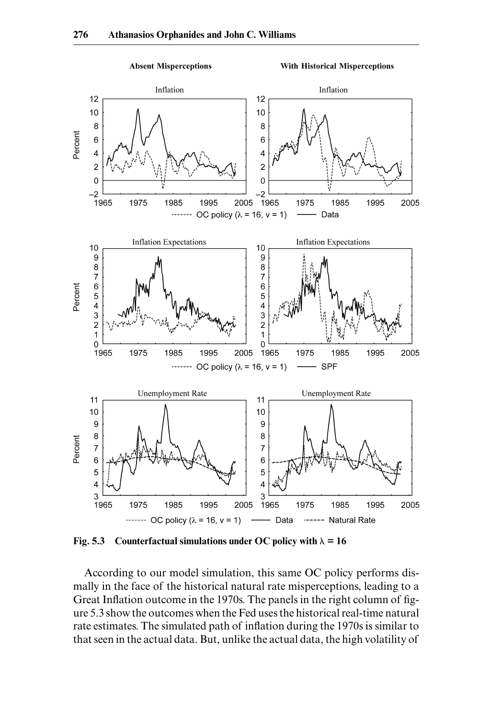

Fig. 5.3 Counterfactual simulations under OC policy with  $\lambda = 16$ 

According to our model simulation, this same OC policy performs dismally in the face of the historical natural rate misperceptions, leading to a Great Inflation outcome in the 1970s. The panels in the right column of figure 5.3 show the outcomes when the Fed uses the historical real- time natural rate estimates. The simulated path of inflation during the 1970s is similar to that seen in the actual data. But, unlike the actual data, the high volatility of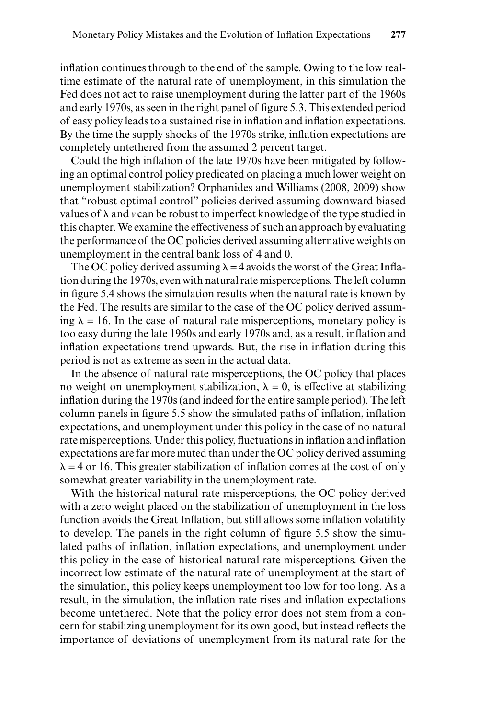inflation continues through to the end of the sample. Owing to the low realtime estimate of the natural rate of unemployment, in this simulation the Fed does not act to raise unemployment during the latter part of the 1960s and early 1970s, as seen in the right panel of figure 5.3. This extended period of easy policy leads to a sustained rise in inflation and inflation expectations. By the time the supply shocks of the 1970s strike, inflation expectations are completely untethered from the assumed 2 percent target.

Could the high inflation of the late 1970s have been mitigated by following an optimal control policy predicated on placing a much lower weight on unemployment stabilization? Orphanides and Williams (2008, 2009) show that "robust optimal control" policies derived assuming downward biased values of  $\lambda$  and *v* can be robust to imperfect knowledge of the type studied in this chapter. We examine the effectiveness of such an approach by evaluating the performance of the OC policies derived assuming alternative weights on unemployment in the central bank loss of 4 and 0.

The OC policy derived assuming  $\lambda = 4$  avoids the worst of the Great Inflation during the 1970s, even with natural rate misperceptions. The left column in figure 5.4 shows the simulation results when the natural rate is known by the Fed. The results are similar to the case of the OC policy derived assuming  $\lambda = 16$ . In the case of natural rate misperceptions, monetary policy is too easy during the late 1960s and early 1970s and, as a result, inflation and inflation expectations trend upwards. But, the rise in inflation during this period is not as extreme as seen in the actual data.

In the absence of natural rate misperceptions, the OC policy that places no weight on unemployment stabilization,  $\lambda = 0$ , is effective at stabilizing inflation during the 1970s (and indeed for the entire sample period). The left column panels in figure 5.5 show the simulated paths of inflation, inflation expectations, and unemployment under this policy in the case of no natural rate misperceptions. Under this policy, fluctuations in inflation and inflation expectations are far more muted than under the OC policy derived assuming  $\lambda = 4$  or 16. This greater stabilization of inflation comes at the cost of only somewhat greater variability in the unemployment rate.

With the historical natural rate misperceptions, the OC policy derived with a zero weight placed on the stabilization of unemployment in the loss function avoids the Great Inflation, but still allows some inflation volatility to develop. The panels in the right column of figure 5.5 show the simulated paths of inflation, inflation expectations, and unemployment under this policy in the case of historical natural rate misperceptions. Given the incorrect low estimate of the natural rate of unemployment at the start of the simulation, this policy keeps unemployment too low for too long. As a result, in the simulation, the inflation rate rises and inflation expectations become untethered. Note that the policy error does not stem from a concern for stabilizing unemployment for its own good, but instead reflects the importance of deviations of unemployment from its natural rate for the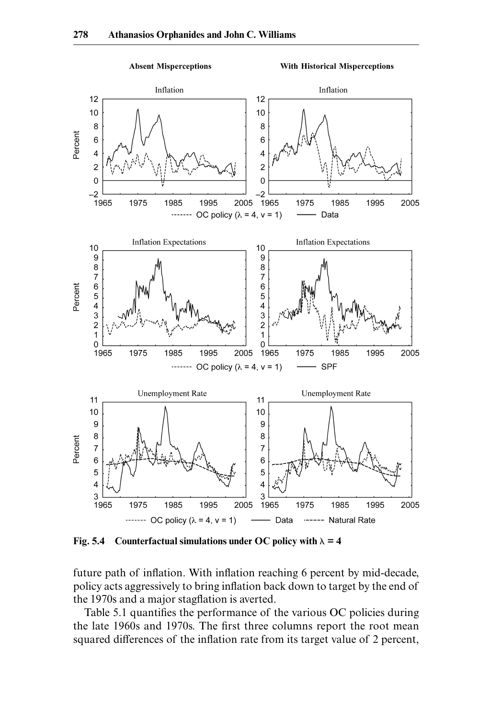![](_page_24_Figure_1.jpeg)

Fig. 5.4 Counterfactual simulations under OC policy with  $\lambda = 4$ 

future path of inflation. With inflation reaching 6 percent by mid-decade, policy acts aggressively to bring inflation back down to target by the end of the 1970s and a major stagflation is averted.

Table 5.1 quantifies the performance of the various OC policies during the late 1960s and 1970s. The first three columns report the root mean squared differences of the inflation rate from its target value of 2 percent,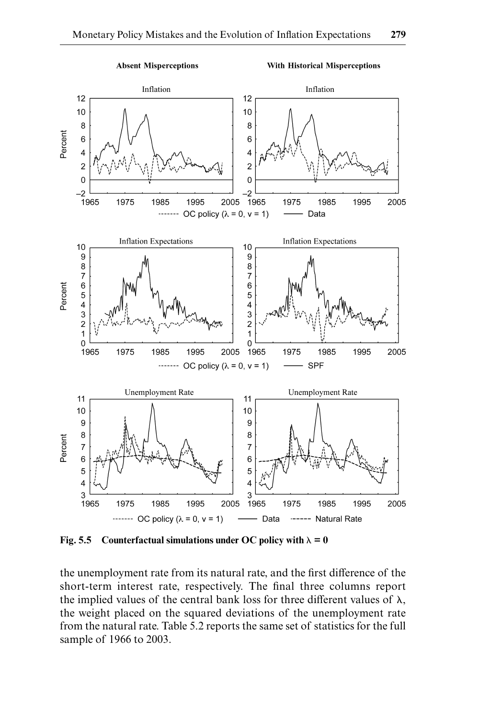![](_page_25_Figure_1.jpeg)

**Fig. 5.5** Counterfactual simulations under OC policy with  $\lambda = 0$ 

the unemployment rate from its natural rate, and the first difference of the short-term interest rate, respectively. The final three columns report the implied values of the central bank loss for three different values of  $\lambda$ , the weight placed on the squared deviations of the unemployment rate from the natural rate. Table 5.2 reports the same set of statistics for the full sample of 1966 to 2003.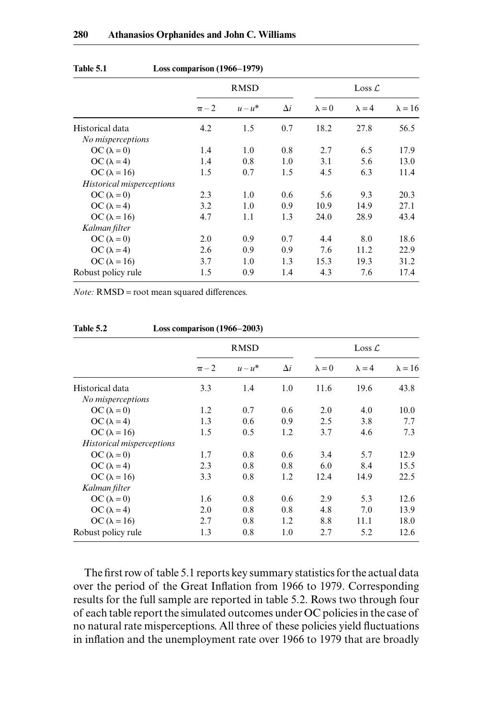|                           | <b>RMSD</b> |         |            | Loss $\mathcal{L}$ |               |                |
|---------------------------|-------------|---------|------------|--------------------|---------------|----------------|
|                           | $\pi - 2$   | $u-u^*$ | $\Delta i$ | $\lambda = 0$      | $\lambda = 4$ | $\lambda = 16$ |
| Historical data           | 4.2         | 1.5     | 0.7        | 18.2               | 27.8          | 56.5           |
| No misperceptions         |             |         |            |                    |               |                |
| $OC(\lambda = 0)$         | 1.4         | 1.0     | 0.8        | 2.7                | 6.5           | 17.9           |
| $OC(\lambda = 4)$         | 1.4         | 0.8     | 1.0        | 3.1                | 5.6           | 13.0           |
| $OC (λ = 16)$             | 1.5         | 0.7     | 1.5        | 4.5                | 6.3           | 11.4           |
| Historical misperceptions |             |         |            |                    |               |                |
| $OC(\lambda = 0)$         | 2.3         | 1.0     | 0.6        | 5.6                | 9.3           | 20.3           |
| $OC(\lambda = 4)$         | 3.2         | 1.0     | 0.9        | 10.9               | 14.9          | 27.1           |
| $OC(\lambda = 16)$        | 4.7         | 1.1     | 1.3        | 24.0               | 28.9          | 43.4           |
| Kalman filter             |             |         |            |                    |               |                |
| $OC ( \lambda = 0)$       | 2.0         | 0.9     | 0.7        | 4.4                | 8.0           | 18.6           |
| $OC(\lambda = 4)$         | 2.6         | 0.9     | 0.9        | 7.6                | 11.2          | 22.9           |
| $OC (λ = 16)$             | 3.7         | 1.0     | 1.3        | 15.3               | 19.3          | 31.2           |
| Robust policy rule        | 1.5         | 0.9     | 1.4        | 4.3                | 7.6           | 17.4           |

**Table 5.1 Loss comparison (1966–1979)**

*Note:* RMSD = root mean squared differences.

|                                  | <b>RMSD</b> |         |            | Loss $\mathcal{L}$ |               |                |  |  |  |  |
|----------------------------------|-------------|---------|------------|--------------------|---------------|----------------|--|--|--|--|
|                                  | $\pi - 2$   | $u-u^*$ | $\Delta i$ | $\lambda = 0$      | $\lambda = 4$ | $\lambda = 16$ |  |  |  |  |
| Historical data                  | 3.3         | 1.4     | 1.0        | 11.6               | 19.6          | 43.8           |  |  |  |  |
| No misperceptions                |             |         |            |                    |               |                |  |  |  |  |
| $OC ( \lambda = 0)$              | 1.2         | 0.7     | 0.6        | 2.0                | 4.0           | 10.0           |  |  |  |  |
| $OC(\lambda = 4)$                | 1.3         | 0.6     | 0.9        | 2.5                | 3.8           | 7.7            |  |  |  |  |
| $OC (λ = 16)$                    | 1.5         | 0.5     | 1.2        | 3.7                | 4.6           | 7.3            |  |  |  |  |
| <b>Historical misperceptions</b> |             |         |            |                    |               |                |  |  |  |  |
| $OC ( \lambda = 0)$              | 1.7         | 0.8     | 0.6        | 3.4                | 5.7           | 12.9           |  |  |  |  |
| $OC(\lambda = 4)$                | 2.3         | 0.8     | 0.8        | 6.0                | 8.4           | 15.5           |  |  |  |  |
| $OC (λ = 16)$                    | 3.3         | 0.8     | 1.2        | 12.4               | 14.9          | 22.5           |  |  |  |  |
| Kalman filter                    |             |         |            |                    |               |                |  |  |  |  |
| $OC ( \lambda = 0)$              | 1.6         | 0.8     | 0.6        | 2.9                | 5.3           | 12.6           |  |  |  |  |
| $OC(\lambda = 4)$                | 2.0         | 0.8     | 0.8        | 4.8                | 7.0           | 13.9           |  |  |  |  |
| $OC ( \lambda = 16)$             | 2.7         | 0.8     | 1.2        | 8.8                | 11.1          | 18.0           |  |  |  |  |
| Robust policy rule               | 1.3         | 0.8     | 1.0        | 2.7                | 5.2           | 12.6           |  |  |  |  |
|                                  |             |         |            |                    |               |                |  |  |  |  |

#### **Table 5.2 Loss comparison (1966–2003)**

The first row of table 5.1 reports key summary statistics for the actual data over the period of the Great Inflation from 1966 to 1979. Corresponding results for the full sample are reported in table 5.2. Rows two through four of each table report the simulated outcomes under OC policies in the case of no natural rate misperceptions. All three of these policies yield fluctuations in inflation and the unemployment rate over 1966 to 1979 that are broadly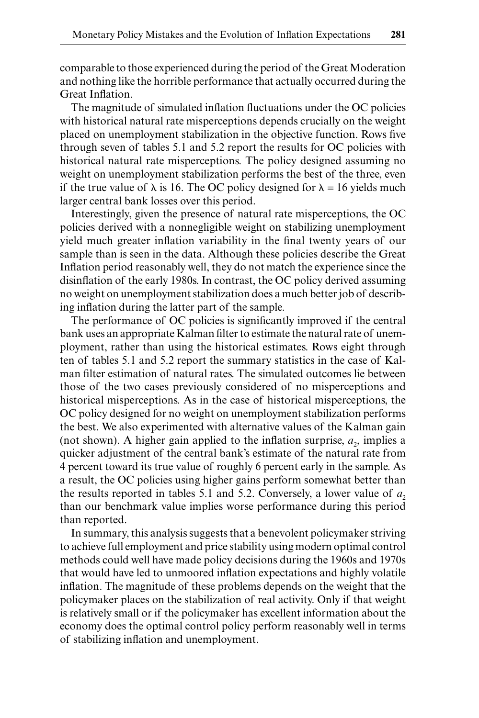comparable to those experienced during the period of the Great Moderation and nothing like the horrible performance that actually occurred during the Great Inflation.

The magnitude of simulated inflation fluctuations under the OC policies with historical natural rate misperceptions depends crucially on the weight placed on unemployment stabilization in the objective function. Rows five through seven of tables 5.1 and 5.2 report the results for OC policies with historical natural rate misperceptions. The policy designed assuming no weight on unemployment stabilization performs the best of the three, even if the true value of  $\lambda$  is 16. The OC policy designed for  $\lambda = 16$  yields much larger central bank losses over this period.

Interestingly, given the presence of natural rate misperceptions, the OC policies derived with a nonnegligible weight on stabilizing unemployment yield much greater inflation variability in the final twenty years of our sample than is seen in the data. Although these policies describe the Great Inflation period reasonably well, they do not match the experience since the disinflation of the early 1980s. In contrast, the OC policy derived assuming no weight on unemployment stabilization does a much better job of describing inflation during the latter part of the sample.

The performance of OC policies is significantly improved if the central bank uses an appropriate Kalman filter to estimate the natural rate of unemployment, rather than using the historical estimates. Rows eight through ten of tables 5.1 and 5.2 report the summary statistics in the case of Kalman filter estimation of natural rates. The simulated outcomes lie between those of the two cases previously considered of no misperceptions and historical misperceptions. As in the case of historical misperceptions, the OC policy designed for no weight on unemployment stabilization performs the best. We also experimented with alternative values of the Kalman gain (not shown). A higher gain applied to the inflation surprise,  $a_2$ , implies a quicker adjustment of the central bank's estimate of the natural rate from 4 percent toward its true value of roughly 6 percent early in the sample. As a result, the OC policies using higher gains perform somewhat better than the results reported in tables 5.1 and 5.2. Conversely, a lower value of  $a<sub>2</sub>$ than our benchmark value implies worse performance during this period than reported.

In summary, this analysis suggests that a benevolent policymaker striving to achieve full employment and price stability using modern optimal control methods could well have made policy decisions during the 1960s and 1970s that would have led to unmoored inflation expectations and highly volatile inflation. The magnitude of these problems depends on the weight that the policymaker places on the stabilization of real activity. Only if that weight is relatively small or if the policymaker has excellent information about the economy does the optimal control policy perform reasonably well in terms of stabilizing inflation and unemployment.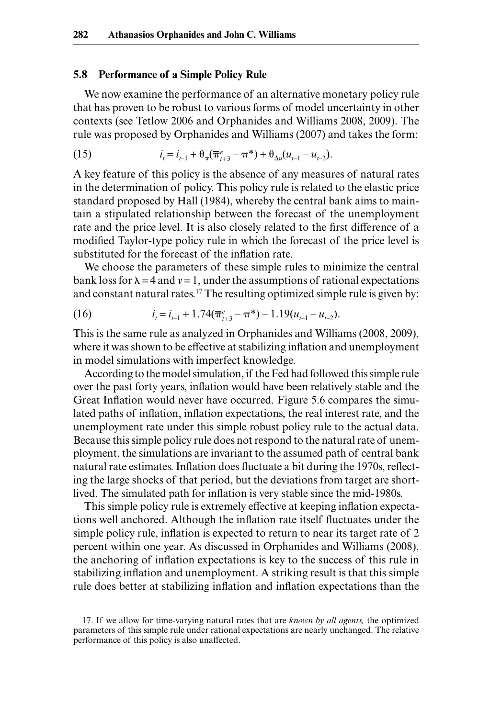#### **5.8 Performance of a Simple Policy Rule**

We now examine the performance of an alternative monetary policy rule that has proven to be robust to various forms of model uncertainty in other contexts (see Tetlow 2006 and Orphanides and Williams 2008, 2009). The rule was proposed by Orphanides and Williams (2007) and takes the form:

(15) 
$$
i_{t} = i_{t-1} + \theta_{\pi}(\overline{\pi}_{t+3}^{e} - \pi^{*}) + \theta_{\Delta u}(u_{t-1} - u_{t-2}).
$$

A key feature of this policy is the absence of any measures of natural rates in the determination of policy. This policy rule is related to the elastic price standard proposed by Hall (1984), whereby the central bank aims to maintain a stipulated relationship between the forecast of the unemployment rate and the price level. It is also closely related to the first difference of a modified Taylor-type policy rule in which the forecast of the price level is substituted for the forecast of the inflation rate.

We choose the parameters of these simple rules to minimize the central bank loss for  $\lambda = 4$  and  $\nu = 1$ , under the assumptions of rational expectations and constant natural rates.<sup>17</sup> The resulting optimized simple rule is given by:

(16) 
$$
i_{t} = i_{t-1} + 1.74(\overline{\pi}_{t+3}^{e} - \pi^{*}) - 1.19(u_{t-1} - u_{t-2}).
$$

This is the same rule as analyzed in Orphanides and Williams (2008, 2009), where it was shown to be effective at stabilizing inflation and unemployment in model simulations with imperfect knowledge.

According to the model simulation, if the Fed had followed this simple rule over the past forty years, inflation would have been relatively stable and the Great Inflation would never have occurred. Figure 5.6 compares the simulated paths of inflation, inflation expectations, the real interest rate, and the unemployment rate under this simple robust policy rule to the actual data. Because this simple policy rule does not respond to the natural rate of unemployment, the simulations are invariant to the assumed path of central bank natural rate estimates. Inflation does fluctuate a bit during the 1970s, reflecting the large shocks of that period, but the deviations from target are shortlived. The simulated path for inflation is very stable since the mid-1980s.

This simple policy rule is extremely effective at keeping inflation expectations well anchored. Although the inflation rate itself fluctuates under the simple policy rule, inflation is expected to return to near its target rate of 2 percent within one year. As discussed in Orphanides and Williams (2008), the anchoring of inflation expectations is key to the success of this rule in stabilizing inflation and unemployment. A striking result is that this simple rule does better at stabilizing inflation and inflation expectations than the

<sup>17.</sup> If we allow for time- varying natural rates that are *known by all agents,* the optimized parameters of this simple rule under rational expectations are nearly unchanged. The relative performance of this policy is also unaffected.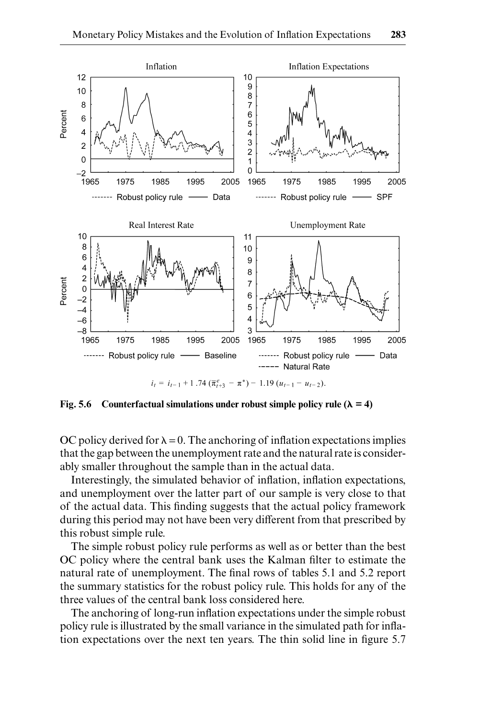![](_page_29_Figure_1.jpeg)

Fig. 5.6 Counterfactual simulations under robust simple policy rule  $(\lambda = 4)$ 

OC policy derived for  $\lambda = 0$ . The anchoring of inflation expectations implies that the gap between the unemployment rate and the natural rate is considerably smaller throughout the sample than in the actual data.

Interestingly, the simulated behavior of inflation, inflation expectations, and unemployment over the latter part of our sample is very close to that of the actual data. This finding suggests that the actual policy framework during this period may not have been very different from that prescribed by this robust simple rule.

The simple robust policy rule performs as well as or better than the best OC policy where the central bank uses the Kalman filter to estimate the natural rate of unemployment. The final rows of tables 5.1 and 5.2 report the summary statistics for the robust policy rule. This holds for any of the three values of the central bank loss considered here.

The anchoring of long-run inflation expectations under the simple robust policy rule is illustrated by the small variance in the simulated path for inflation expectations over the next ten years. The thin solid line in figure 5.7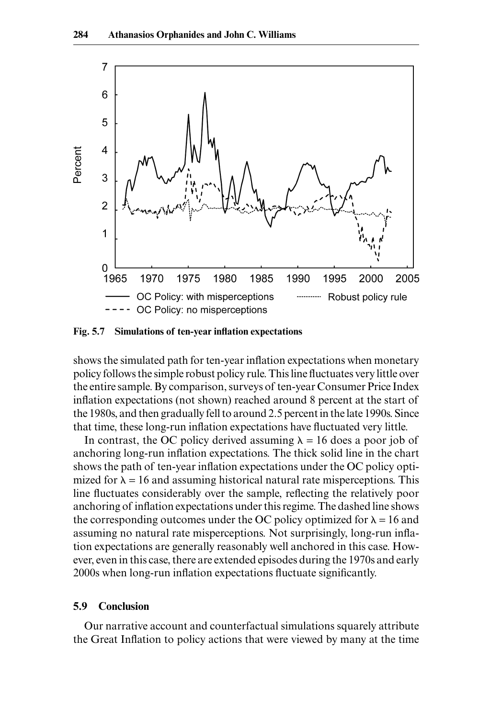![](_page_30_Figure_1.jpeg)

Fig. 5.7 Simulations of ten-year inflation expectations

shows the simulated path for ten-year inflation expectations when monetary policy follows the simple robust policy rule. This line fluctuates very little over the entire sample. By comparison, surveys of ten- year Consumer Price Index inflation expectations (not shown) reached around 8 percent at the start of the 1980s, and then gradually fell to around 2.5 percent in the late 1990s. Since that time, these long-run inflation expectations have fluctuated very little.

In contrast, the OC policy derived assuming  $\lambda = 16$  does a poor job of anchoring long-run inflation expectations. The thick solid line in the chart shows the path of ten-year inflation expectations under the OC policy optimized for  $\lambda = 16$  and assuming historical natural rate misperceptions. This line fluctuates considerably over the sample, reflecting the relatively poor anchoring of inflation expectations under this regime. The dashed line shows the corresponding outcomes under the OC policy optimized for  $\lambda = 16$  and assuming no natural rate misperceptions. Not surprisingly, long-run inflation expectations are generally reasonably well anchored in this case. However, even in this case, there are extended episodes during the 1970s and early 2000s when long-run inflation expectations fluctuate significantly.

#### **5.9 Conclusion**

Our narrative account and counterfactual simulations squarely attribute the Great Inflation to policy actions that were viewed by many at the time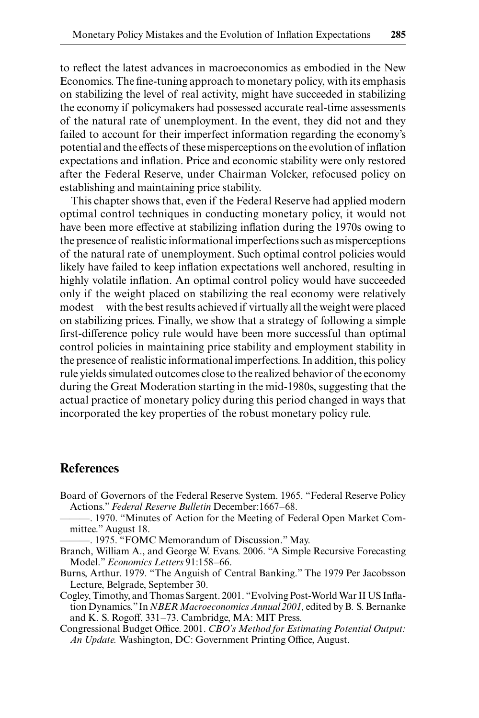to reflect the latest advances in macroeconomics as embodied in the New Economics. The fine-tuning approach to monetary policy, with its emphasis on stabilizing the level of real activity, might have succeeded in stabilizing the economy if policymakers had possessed accurate real- time assessments of the natural rate of unemployment. In the event, they did not and they failed to account for their imperfect information regarding the economy's potential and the effects of these misperceptions on the evolution of inflation expectations and inflation. Price and economic stability were only restored after the Federal Reserve, under Chairman Volcker, refocused policy on establishing and maintaining price stability.

This chapter shows that, even if the Federal Reserve had applied modern optimal control techniques in conducting monetary policy, it would not have been more effective at stabilizing inflation during the 1970s owing to the presence of realistic informational imperfections such as misperceptions of the natural rate of unemployment. Such optimal control policies would likely have failed to keep inflation expectations well anchored, resulting in highly volatile inflation. An optimal control policy would have succeeded only if the weight placed on stabilizing the real economy were relatively modest—with the best results achieved if virtually all the weight were placed on stabilizing prices. Finally, we show that a strategy of following a simple first-difference policy rule would have been more successful than optimal control policies in maintaining price stability and employment stability in the presence of realistic informational imperfections. In addition, this policy rule yields simulated outcomes close to the realized behavior of the economy during the Great Moderation starting in the mid- 1980s, suggesting that the actual practice of monetary policy during this period changed in ways that incorporated the key properties of the robust monetary policy rule.

# **References**

- Board of Governors of the Federal Reserve System. 1965. "Federal Reserve Policy Actions." *Federal Reserve Bulletin* December:1667–68.
	- ———. 1970. "Minutes of Action for the Meeting of Federal Open Market Committee." August 18.
	- -. 1975. "FOMC Memorandum of Discussion." May.
- Branch, William A., and George W. Evans. 2006. "A Simple Recursive Forecasting Model." *Economics Letters* 91:158–66.
- Burns, Arthur. 1979. "The Anguish of Central Banking." The 1979 Per Jacobsson Lecture, Belgrade, September 30.
- Cogley, Timothy, and Thomas Sargent. 2001. "Evolving Post-World War II US Inflation Dynamics." In *NBER Macroeconomics Annual 2001,* edited by B. S. Bernanke and K. S. Rogoff, 331–73. Cambridge, MA: MIT Press.
- Congressional Budget Office. 2001. *CBO's Method for Estimating Potential Output: An Update.* Washington, DC: Government Printing Office, August.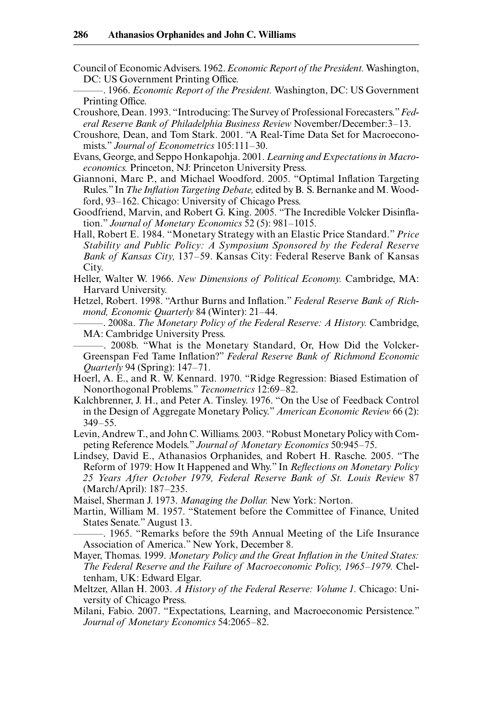- Council of Economic Advisers. 1962. *Economic Report of the President.* Washington, DC: US Government Printing Office.
- ———. 1966. *Economic Report of the President.* Washington, DC: US Government Printing Office.
- Croushore, Dean. 1993. "Introducing: The Survey of Professional Forecasters." *Federal Reserve Bank of Philadelphia Business Review November/December:3–13.*
- Croushore, Dean, and Tom Stark. 2001. "A Real- Time Data Set for Macroeconomists." *Journal of Econometrics* 105:111–30.
- Evans, George, and Seppo Honkapohja. 2001. *Learning and Expectations in Macroeconomics.* Princeton, NJ: Princeton University Press.
- Giannoni, Marc P., and Michael Woodford. 2005. "Optimal Inflation Targeting Rules." In *The Inflation Targeting Debate*, edited by B. S. Bernanke and M. Woodford, 93–162. Chicago: University of Chicago Press.
- Goodfriend, Marvin, and Robert G. King. 2005. "The Incredible Volcker Disinflation." *Journal of Monetary Economics* 52 (5): 981–1015.
- Hall, Robert E. 1984. "Monetary Strategy with an Elastic Price Standard." *Price Stability and Public Policy: A Symposium Sponsored by the Federal Reserve Bank of Kansas City,* 137–59. Kansas City: Federal Reserve Bank of Kansas City.
- Heller, Walter W. 1966. *New Dimensions of Political Economy.* Cambridge, MA: Harvard University.
- Hetzel, Robert. 1998. "Arthur Burns and Inflation." Federal Reserve Bank of Rich*mond, Economic Quarterly* 84 (Winter): 21–44.

———. 2008a. *The Monetary Policy of the Federal Reserve: A History.* Cambridge, MA: Cambridge University Press.

-. 2008b. "What is the Monetary Standard, Or, How Did the Volcker-Greenspan Fed Tame Inflation?" *Federal Reserve Bank of Richmond Economic Quarterly* 94 (Spring): 147–71.

- Hoerl, A. E., and R. W. Kennard. 1970. "Ridge Regression: Biased Estimation of Nonorthogonal Problems." *Tecnometrics* 12:69–82.
- Kalchbrenner, J. H., and Peter A. Tinsley. 1976. "On the Use of Feedback Control in the Design of Aggregate Monetary Policy." *American Economic Review* 66 (2): 349–55.
- Levin, Andrew T., and John C. Williams. 2003. "Robust Monetary Policy with Competing Reference Models." *Journal of Monetary Economics* 50:945–75.
- Lindsey, David E., Athanasios Orphanides, and Robert H. Rasche. 2005. "The Reform of 1979: How It Happened and Why." In *Reflections on Monetary Policy 25 Years After October 1979, Federal Reserve Bank of St. Louis Review* 87 (March/April): 187–235.

Maisel, Sherman J. 1973. *Managing the Dollar.* New York: Norton.

Martin, William M. 1957. "Statement before the Committee of Finance, United States Senate." August 13.

-. 1965. "Remarks before the 59th Annual Meeting of the Life Insurance Association of America." New York, December 8.

- Mayer, Thomas. 1999. Monetary Policy and the Great Inflation in the United States: *The Federal Reserve and the Failure of Macroeconomic Policy, 1965–1979.* Cheltenham, UK: Edward Elgar.
- Meltzer, Allan H. 2003. *A History of the Federal Reserve: Volume 1.* Chicago: University of Chicago Press.
- Milani, Fabio. 2007. "Expectations, Learning, and Macroeconomic Persistence." *Journal of Monetary Economics* 54:2065–82.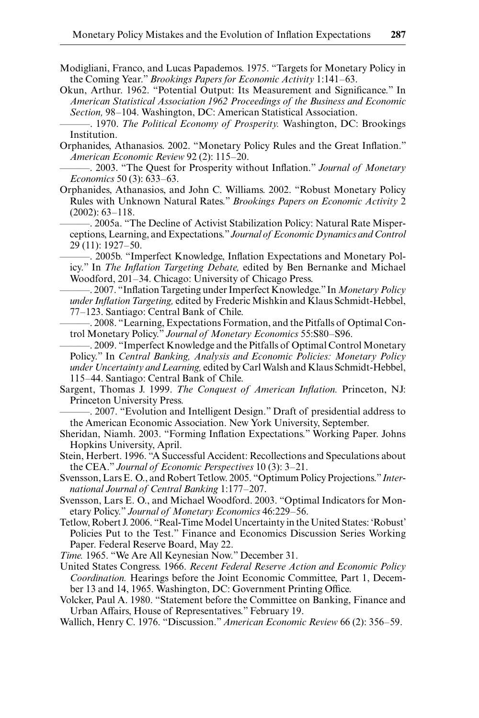- Modigliani, Franco, and Lucas Papademos. 1975. "Targets for Monetary Policy in the Coming Year." *Brookings Papers for Economic Activity* 1:141–63.
- Okun, Arthur. 1962. "Potential Output: Its Measurement and Significance." In *American Statistical Association 1962 Proceedings of the Business and Economic Section,* 98–104. Washington, DC: American Statistical Association.
- ———. 1970. *The Political Economy of Prosperity.* Washington, DC: Brookings Institution.
- Orphanides, Athanasios. 2002. "Monetary Policy Rules and the Great Inflation." *American Economic Review* 92 (2): 115–20.
- ———. 2003. "The Quest for Prosperity without Infl ation." *Journal of Monetary Economics* 50 (3): 633–63.
- Orphanides, Athanasios, and John C. Williams. 2002. "Robust Monetary Policy Rules with Unknown Natural Rates." *Brookings Papers on Economic Activity* 2 (2002): 63–118.
	- ———. 2005a. "The Decline of Activist Stabilization Policy: Natural Rate Misperceptions, Learning, and Expectations." *Journal of Economic Dynamics and Control* 29 (11): 1927–50.
	- . 2005b. "Imperfect Knowledge, Inflation Expectations and Monetary Policy." In *The Inflation Targeting Debate*, edited by Ben Bernanke and Michael Woodford, 201–34. Chicago: University of Chicago Press.

———. 2007. "Infl ation Targeting under Imperfect Knowledge." In *Monetary Policy under Infl ation Targeting,* edited by Frederic Mishkin and Klaus Schmidt- Hebbel, 77–123. Santiago: Central Bank of Chile.

———. 2008. "Learning, Expectations Formation, and the Pitfalls of Optimal Control Monetary Policy." *Journal of Monetary Economics* 55:S80–S96.

-. 2009. "Imperfect Knowledge and the Pitfalls of Optimal Control Monetary Policy." In *Central Banking, Analysis and Economic Policies: Monetary Policy under Uncertainty and Learning,* edited by Carl Walsh and Klaus Schmidt- Hebbel, 115–44. Santiago: Central Bank of Chile.

Sargent, Thomas J. 1999. *The Conquest of American Inflation*. Princeton, NJ: Princeton University Press.

———. 2007. "Evolution and Intelligent Design." Draft of presidential address to the American Economic Association. New York University, September.

- Sheridan, Niamh. 2003. "Forming Inflation Expectations." Working Paper. Johns Hopkins University, April.
- Stein, Herbert. 1996. "A Successful Accident: Recollections and Speculations about the CEA." *Journal of Economic Perspectives* 10 (3): 3–21.
- Svensson, Lars E. O., and Robert Tetlow. 2005. "Optimum Policy Projections." *International Journal of Central Banking* 1:177–207.
- Svensson, Lars E. O., and Michael Woodford. 2003. "Optimal Indicators for Monetary Policy." *Journal of Monetary Economics* 46:229–56.
- Tetlow, Robert J. 2006. "Real- Time Model Uncertainty in the United States: 'Robust' Policies Put to the Test." Finance and Economics Discussion Series Working Paper. Federal Reserve Board, May 22.

*Time.* 1965. "We Are All Keynesian Now." December 31.

- United States Congress. 1966. *Recent Federal Reserve Action and Economic Policy Coordination.* Hearings before the Joint Economic Committee, Part 1, December 13 and 14, 1965. Washington, DC: Government Printing Office.
- Volcker, Paul A. 1980. "Statement before the Committee on Banking, Finance and Urban Affairs, House of Representatives." February 19.
- Wallich, Henry C. 1976. "Discussion." *American Economic Review* 66 (2): 356–59.